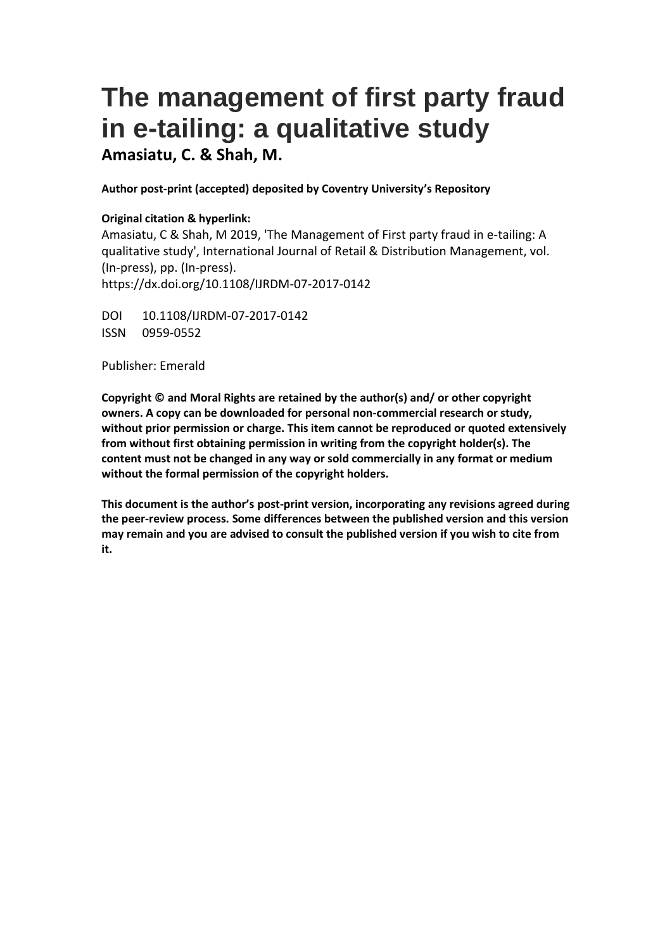# **The management of first party fraud in e-tailing: a qualitative study Amasiatu, C. & Shah, M.**

**Author post-print (accepted) deposited by Coventry University's Repository**

## **Original citation & hyperlink:**

Amasiatu, C & Shah, M 2019, 'The Management of First party fraud in e-tailing: A qualitative study', International Journal of Retail & Distribution Management, vol. (In-press), pp. (In-press). https://dx.doi.org/10.1108/IJRDM-07-2017-0142

DOI 10.1108/IJRDM-07-2017-0142 ISSN 0959-0552

Publisher: Emerald

**Copyright © and Moral Rights are retained by the author(s) and/ or other copyright owners. A copy can be downloaded for personal non-commercial research or study, without prior permission or charge. This item cannot be reproduced or quoted extensively from without first obtaining permission in writing from the copyright holder(s). The content must not be changed in any way or sold commercially in any format or medium without the formal permission of the copyright holders.** 

**This document is the author's post-print version, incorporating any revisions agreed during the peer-review process. Some differences between the published version and this version may remain and you are advised to consult the published version if you wish to cite from it.**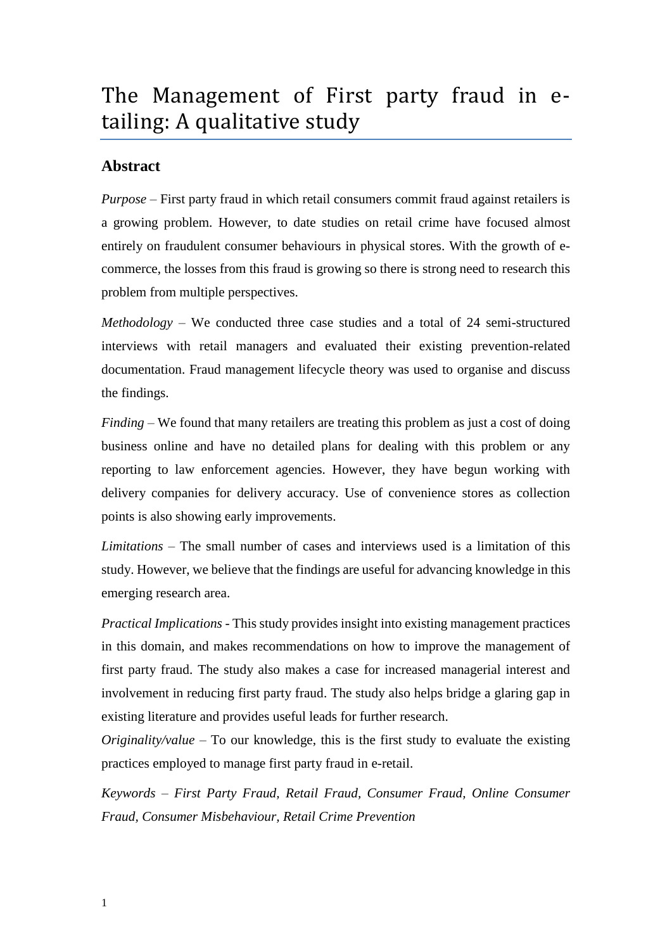## The Management of First party fraud in etailing: A qualitative study

## **Abstract**

*Purpose* – First party fraud in which retail consumers commit fraud against retailers is a growing problem. However, to date studies on retail crime have focused almost entirely on fraudulent consumer behaviours in physical stores. With the growth of ecommerce, the losses from this fraud is growing so there is strong need to research this problem from multiple perspectives.

*Methodology* – We conducted three case studies and a total of 24 semi-structured interviews with retail managers and evaluated their existing prevention-related documentation. Fraud management lifecycle theory was used to organise and discuss the findings.

*Finding* – We found that many retailers are treating this problem as just a cost of doing business online and have no detailed plans for dealing with this problem or any reporting to law enforcement agencies. However, they have begun working with delivery companies for delivery accuracy. Use of convenience stores as collection points is also showing early improvements.

*Limitations* – The small number of cases and interviews used is a limitation of this study. However, we believe that the findings are useful for advancing knowledge in this emerging research area.

*Practical Implications* - This study provides insight into existing management practices in this domain, and makes recommendations on how to improve the management of first party fraud. The study also makes a case for increased managerial interest and involvement in reducing first party fraud. The study also helps bridge a glaring gap in existing literature and provides useful leads for further research.

*Originality/value* – To our knowledge, this is the first study to evaluate the existing practices employed to manage first party fraud in e-retail.

*Keywords* – *First Party Fraud, Retail Fraud, Consumer Fraud, Online Consumer Fraud, Consumer Misbehaviour, Retail Crime Prevention*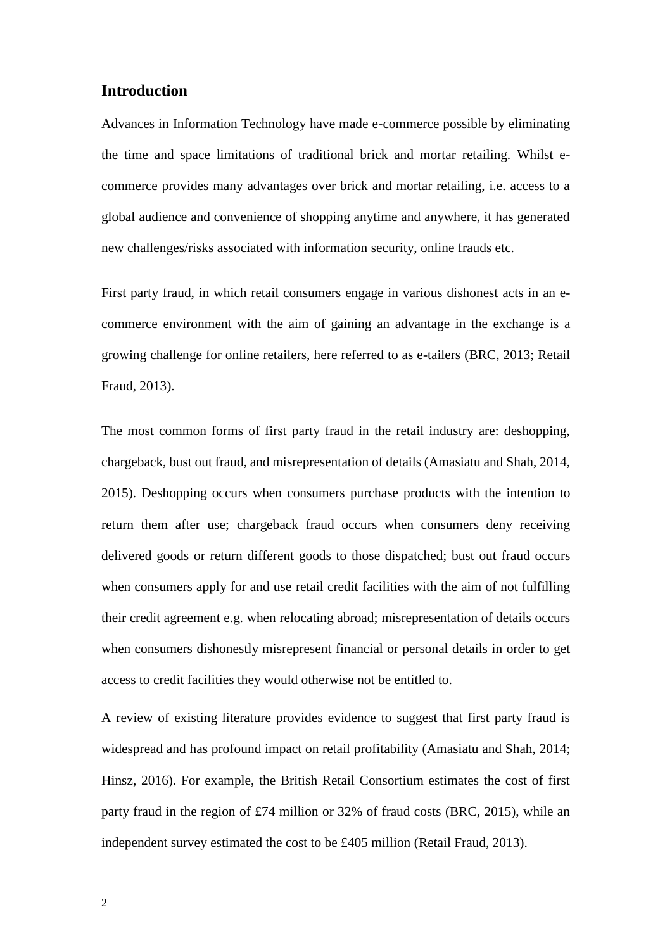## **Introduction**

Advances in Information Technology have made e-commerce possible by eliminating the time and space limitations of traditional brick and mortar retailing. Whilst ecommerce provides many advantages over brick and mortar retailing, i.e. access to a global audience and convenience of shopping anytime and anywhere, it has generated new challenges/risks associated with information security, online frauds etc.

First party fraud, in which retail consumers engage in various dishonest acts in an ecommerce environment with the aim of gaining an advantage in the exchange is a growing challenge for online retailers, here referred to as e-tailers (BRC, 2013; Retail Fraud, 2013).

The most common forms of first party fraud in the retail industry are: deshopping, chargeback, bust out fraud, and misrepresentation of details (Amasiatu and Shah, 2014, 2015). Deshopping occurs when consumers purchase products with the intention to return them after use; chargeback fraud occurs when consumers deny receiving delivered goods or return different goods to those dispatched; bust out fraud occurs when consumers apply for and use retail credit facilities with the aim of not fulfilling their credit agreement e.g. when relocating abroad; misrepresentation of details occurs when consumers dishonestly misrepresent financial or personal details in order to get access to credit facilities they would otherwise not be entitled to.

A review of existing literature provides evidence to suggest that first party fraud is widespread and has profound impact on retail profitability (Amasiatu and Shah, 2014; Hinsz, 2016). For example, the British Retail Consortium estimates the cost of first party fraud in the region of £74 million or 32% of fraud costs (BRC, 2015), while an independent survey estimated the cost to be £405 million (Retail Fraud, 2013).

2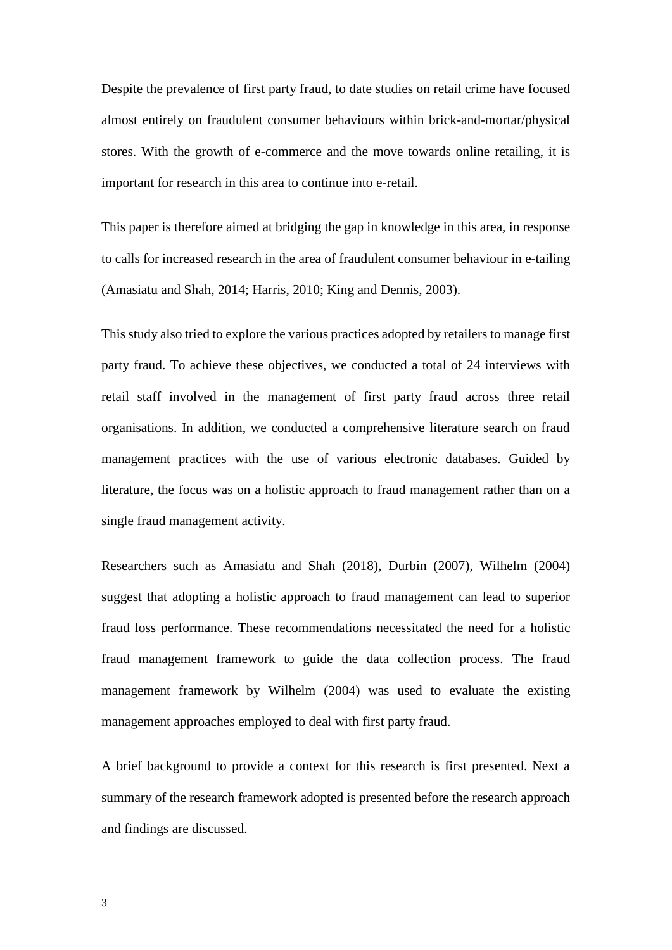Despite the prevalence of first party fraud, to date studies on retail crime have focused almost entirely on fraudulent consumer behaviours within brick-and-mortar/physical stores. With the growth of e-commerce and the move towards online retailing, it is important for research in this area to continue into e-retail.

This paper is therefore aimed at bridging the gap in knowledge in this area, in response to calls for increased research in the area of fraudulent consumer behaviour in e-tailing (Amasiatu and Shah, 2014; Harris, 2010; King and Dennis, 2003).

This study also tried to explore the various practices adopted by retailers to manage first party fraud. To achieve these objectives, we conducted a total of 24 interviews with retail staff involved in the management of first party fraud across three retail organisations. In addition, we conducted a comprehensive literature search on fraud management practices with the use of various electronic databases. Guided by literature, the focus was on a holistic approach to fraud management rather than on a single fraud management activity.

Researchers such as Amasiatu and Shah (2018), Durbin (2007), Wilhelm (2004) suggest that adopting a holistic approach to fraud management can lead to superior fraud loss performance. These recommendations necessitated the need for a holistic fraud management framework to guide the data collection process. The fraud management framework by Wilhelm (2004) was used to evaluate the existing management approaches employed to deal with first party fraud.

A brief background to provide a context for this research is first presented. Next a summary of the research framework adopted is presented before the research approach and findings are discussed.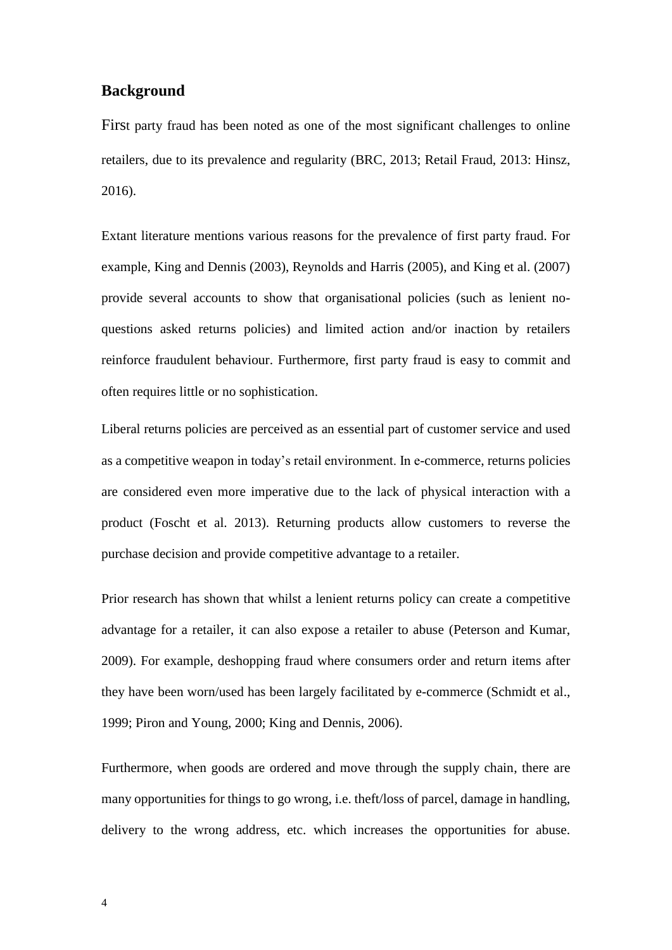## **Background**

First party fraud has been noted as one of the most significant challenges to online retailers, due to its prevalence and regularity (BRC, 2013; Retail Fraud, 2013: Hinsz, 2016).

Extant literature mentions various reasons for the prevalence of first party fraud. For example, King and Dennis (2003), Reynolds and Harris (2005), and King et al. (2007) provide several accounts to show that organisational policies (such as lenient noquestions asked returns policies) and limited action and/or inaction by retailers reinforce fraudulent behaviour. Furthermore, first party fraud is easy to commit and often requires little or no sophistication.

Liberal returns policies are perceived as an essential part of customer service and used as a competitive weapon in today's retail environment. In e-commerce, returns policies are considered even more imperative due to the lack of physical interaction with a product (Foscht et al. 2013). Returning products allow customers to reverse the purchase decision and provide competitive advantage to a retailer.

Prior research has shown that whilst a lenient returns policy can create a competitive advantage for a retailer, it can also expose a retailer to abuse (Peterson and Kumar, 2009). For example, deshopping fraud where consumers order and return items after they have been worn/used has been largely facilitated by e-commerce (Schmidt et al., 1999; Piron and Young, 2000; King and Dennis, 2006).

Furthermore, when goods are ordered and move through the supply chain, there are many opportunities for things to go wrong, i.e. theft/loss of parcel, damage in handling, delivery to the wrong address, etc. which increases the opportunities for abuse.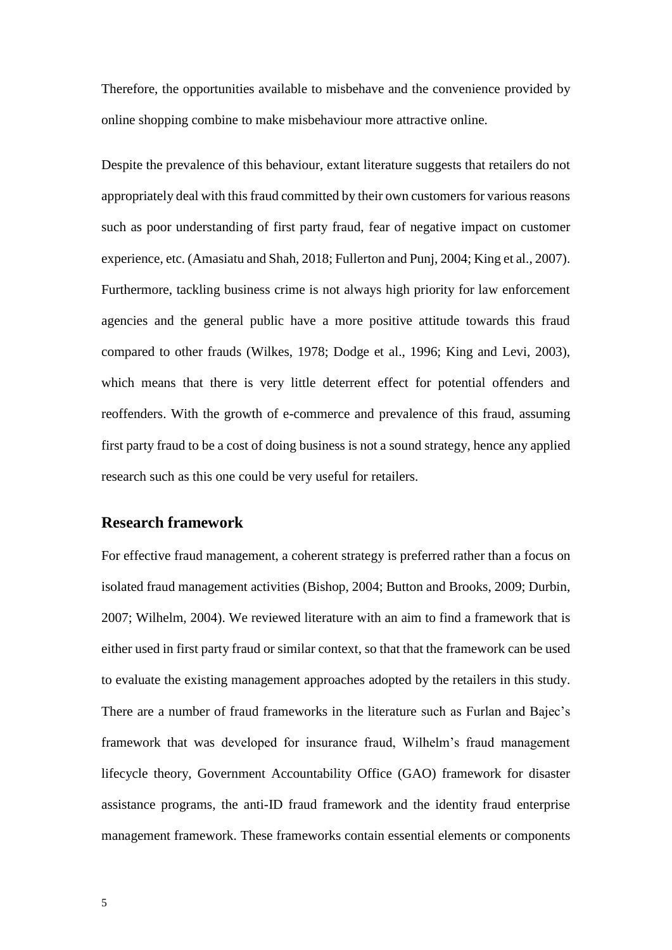Therefore, the opportunities available to misbehave and the convenience provided by online shopping combine to make misbehaviour more attractive online.

Despite the prevalence of this behaviour, extant literature suggests that retailers do not appropriately deal with this fraud committed by their own customers for various reasons such as poor understanding of first party fraud, fear of negative impact on customer experience, etc. (Amasiatu and Shah, 2018; Fullerton and Punj, 2004; King et al., 2007). Furthermore, tackling business crime is not always high priority for law enforcement agencies and the general public have a more positive attitude towards this fraud compared to other frauds (Wilkes, 1978; Dodge et al., 1996; King and Levi, 2003), which means that there is very little deterrent effect for potential offenders and reoffenders. With the growth of e-commerce and prevalence of this fraud, assuming first party fraud to be a cost of doing business is not a sound strategy, hence any applied research such as this one could be very useful for retailers.

## **Research framework**

For effective fraud management, a coherent strategy is preferred rather than a focus on isolated fraud management activities (Bishop, 2004; Button and Brooks, 2009; Durbin, 2007; Wilhelm, 2004). We reviewed literature with an aim to find a framework that is either used in first party fraud or similar context, so that that the framework can be used to evaluate the existing management approaches adopted by the retailers in this study. There are a number of fraud frameworks in the literature such as Furlan and Bajec's framework that was developed for insurance fraud, Wilhelm's fraud management lifecycle theory, Government Accountability Office (GAO) framework for disaster assistance programs, the anti-ID fraud framework and the identity fraud enterprise management framework. These frameworks contain essential elements or components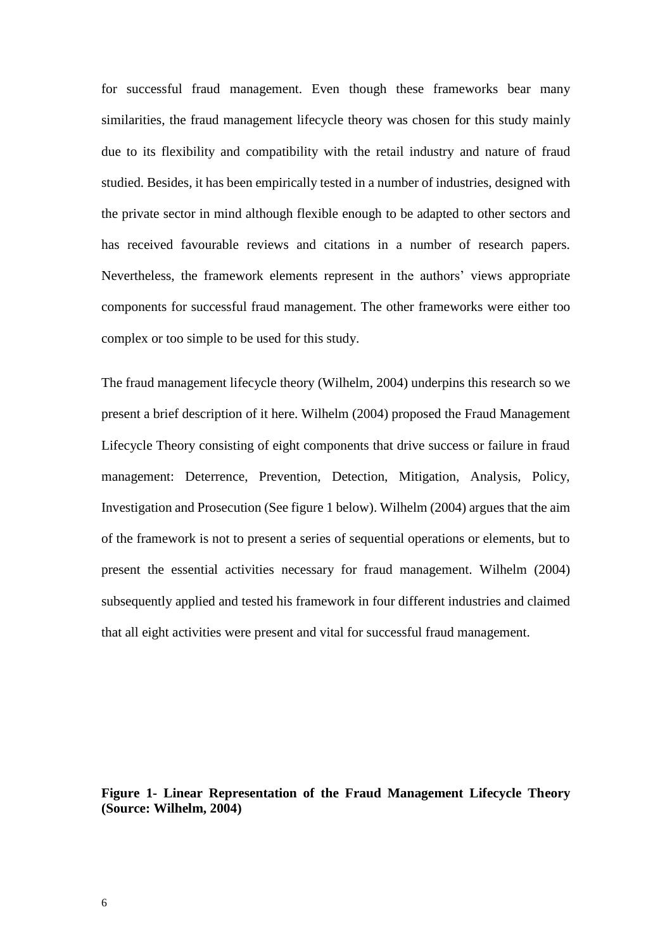for successful fraud management. Even though these frameworks bear many similarities, the fraud management lifecycle theory was chosen for this study mainly due to its flexibility and compatibility with the retail industry and nature of fraud studied. Besides, it has been empirically tested in a number of industries, designed with the private sector in mind although flexible enough to be adapted to other sectors and has received favourable reviews and citations in a number of research papers. Nevertheless, the framework elements represent in the authors' views appropriate components for successful fraud management. The other frameworks were either too complex or too simple to be used for this study.

The fraud management lifecycle theory (Wilhelm, 2004) underpins this research so we present a brief description of it here. Wilhelm (2004) proposed the Fraud Management Lifecycle Theory consisting of eight components that drive success or failure in fraud management: Deterrence, Prevention, Detection, Mitigation, Analysis, Policy, Investigation and Prosecution (See figure 1 below). Wilhelm (2004) argues that the aim of the framework is not to present a series of sequential operations or elements, but to present the essential activities necessary for fraud management. Wilhelm (2004) subsequently applied and tested his framework in four different industries and claimed that all eight activities were present and vital for successful fraud management.

**Figure 1- Linear Representation of the Fraud Management Lifecycle Theory (Source: Wilhelm, 2004)**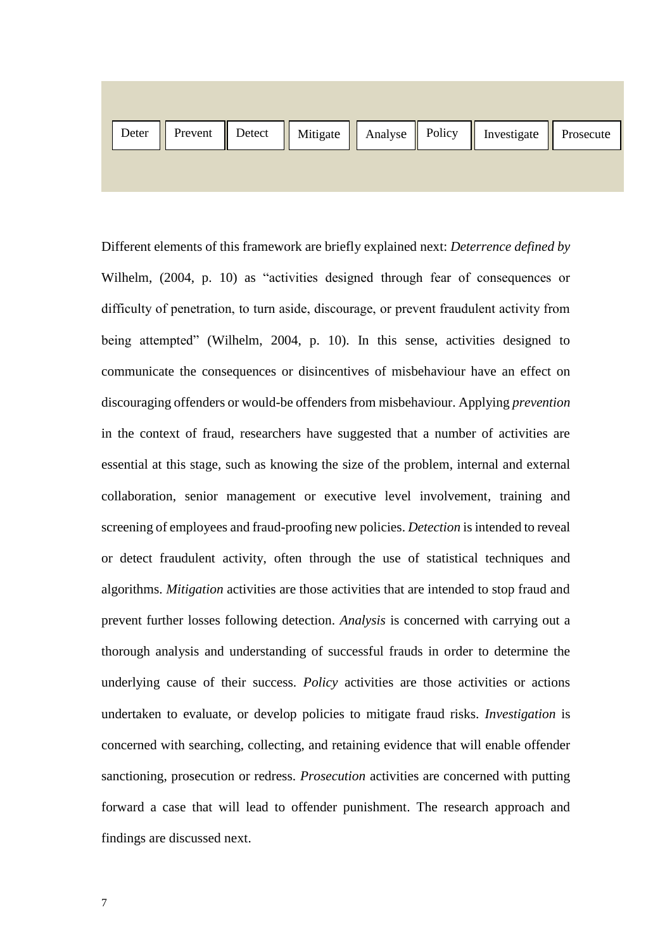|  |  |  | Deter    Prevent    Detect    Mitigate    Analyse    Policy    Investigate    Prosecute |  |
|--|--|--|-----------------------------------------------------------------------------------------|--|
|  |  |  |                                                                                         |  |

Different elements of this framework are briefly explained next: *Deterrence defined by* Wilhelm, (2004, p. 10) as "activities designed through fear of consequences or difficulty of penetration, to turn aside, discourage, or prevent fraudulent activity from being attempted" (Wilhelm, 2004, p. 10). In this sense, activities designed to communicate the consequences or disincentives of misbehaviour have an effect on discouraging offenders or would-be offenders from misbehaviour. Applying *prevention* in the context of fraud, researchers have suggested that a number of activities are essential at this stage, such as knowing the size of the problem, internal and external collaboration, senior management or executive level involvement, training and screening of employees and fraud-proofing new policies. *Detection* is intended to reveal or detect fraudulent activity, often through the use of statistical techniques and algorithms. *Mitigation* activities are those activities that are intended to stop fraud and prevent further losses following detection. *Analysis* is concerned with carrying out a thorough analysis and understanding of successful frauds in order to determine the underlying cause of their success. *Policy* activities are those activities or actions undertaken to evaluate, or develop policies to mitigate fraud risks. *Investigation* is concerned with searching, collecting, and retaining evidence that will enable offender sanctioning, prosecution or redress. *Prosecution* activities are concerned with putting forward a case that will lead to offender punishment. The research approach and findings are discussed next.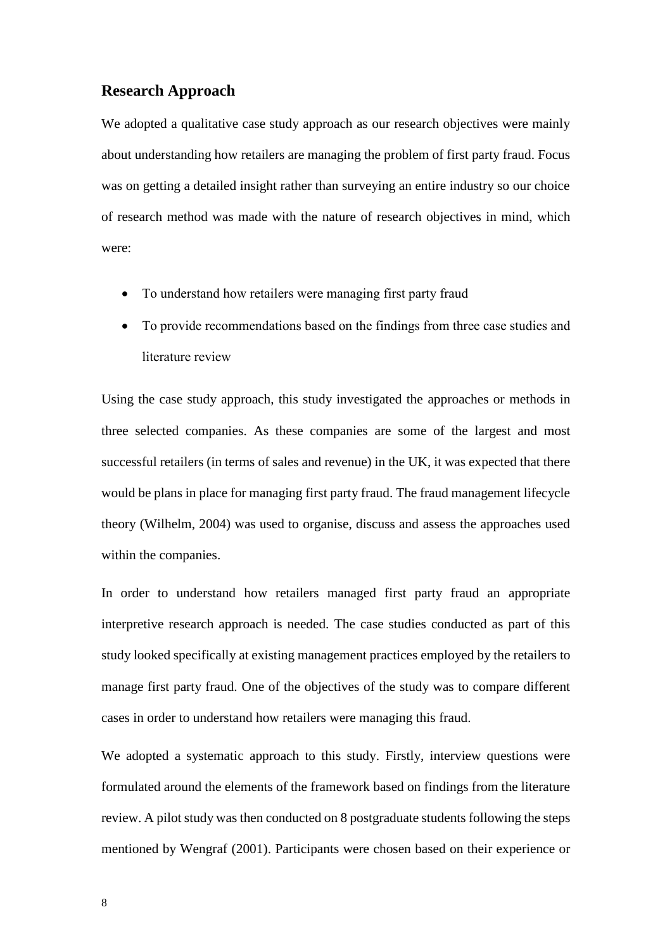## **Research Approach**

We adopted a qualitative case study approach as our research objectives were mainly about understanding how retailers are managing the problem of first party fraud. Focus was on getting a detailed insight rather than surveying an entire industry so our choice of research method was made with the nature of research objectives in mind, which were:

- To understand how retailers were managing first party fraud
- To provide recommendations based on the findings from three case studies and literature review

Using the case study approach, this study investigated the approaches or methods in three selected companies. As these companies are some of the largest and most successful retailers (in terms of sales and revenue) in the UK, it was expected that there would be plans in place for managing first party fraud. The fraud management lifecycle theory (Wilhelm, 2004) was used to organise, discuss and assess the approaches used within the companies.

In order to understand how retailers managed first party fraud an appropriate interpretive research approach is needed. The case studies conducted as part of this study looked specifically at existing management practices employed by the retailers to manage first party fraud. One of the objectives of the study was to compare different cases in order to understand how retailers were managing this fraud.

We adopted a systematic approach to this study. Firstly, interview questions were formulated around the elements of the framework based on findings from the literature review. A pilot study was then conducted on 8 postgraduate students following the steps mentioned by Wengraf (2001). Participants were chosen based on their experience or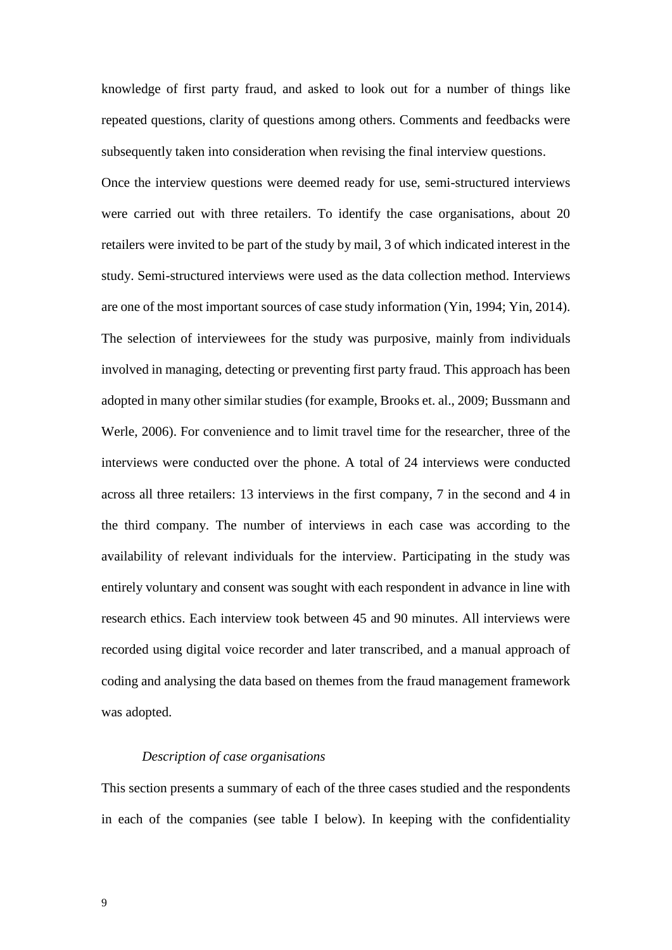knowledge of first party fraud, and asked to look out for a number of things like repeated questions, clarity of questions among others. Comments and feedbacks were subsequently taken into consideration when revising the final interview questions. Once the interview questions were deemed ready for use, semi-structured interviews were carried out with three retailers. To identify the case organisations, about 20 retailers were invited to be part of the study by mail, 3 of which indicated interest in the study. Semi-structured interviews were used as the data collection method. Interviews are one of the most important sources of case study information (Yin, 1994; Yin, 2014). The selection of interviewees for the study was purposive, mainly from individuals involved in managing, detecting or preventing first party fraud. This approach has been adopted in many other similar studies (for example, Brooks et. al., 2009; Bussmann and Werle, 2006). For convenience and to limit travel time for the researcher, three of the interviews were conducted over the phone. A total of 24 interviews were conducted across all three retailers: 13 interviews in the first company, 7 in the second and 4 in the third company. The number of interviews in each case was according to the availability of relevant individuals for the interview. Participating in the study was entirely voluntary and consent was sought with each respondent in advance in line with research ethics. Each interview took between 45 and 90 minutes. All interviews were recorded using digital voice recorder and later transcribed, and a manual approach of coding and analysing the data based on themes from the fraud management framework was adopted.

#### *Description of case organisations*

This section presents a summary of each of the three cases studied and the respondents in each of the companies (see table I below). In keeping with the confidentiality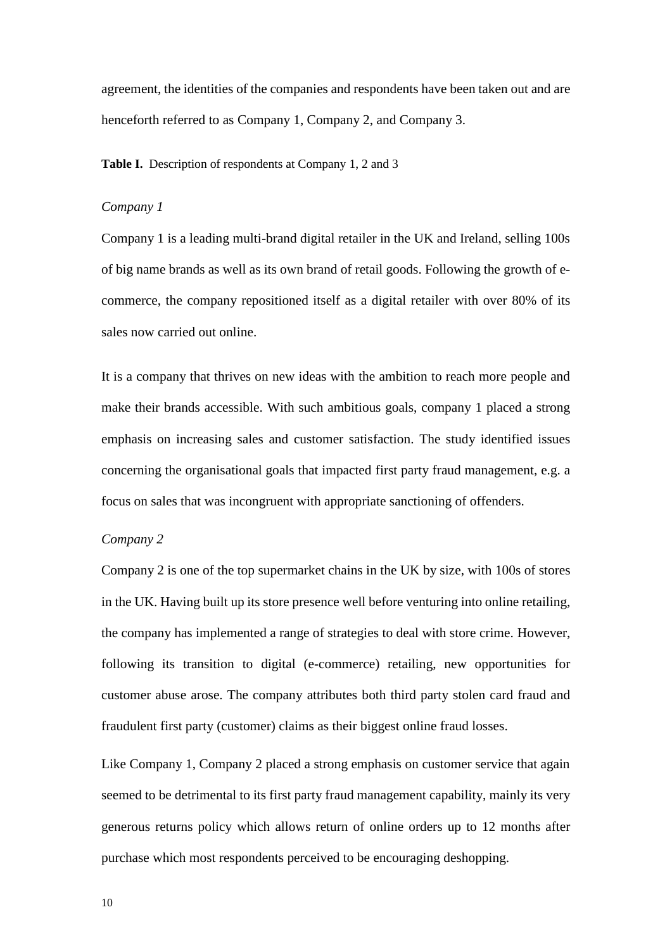agreement, the identities of the companies and respondents have been taken out and are henceforth referred to as Company 1, Company 2, and Company 3.

Table I. Description of respondents at Company 1, 2 and 3

### *Company 1*

Company 1 is a leading multi-brand digital retailer in the UK and Ireland, selling 100s of big name brands as well as its own brand of retail goods. Following the growth of ecommerce, the company repositioned itself as a digital retailer with over 80% of its sales now carried out online.

It is a company that thrives on new ideas with the ambition to reach more people and make their brands accessible. With such ambitious goals, company 1 placed a strong emphasis on increasing sales and customer satisfaction. The study identified issues concerning the organisational goals that impacted first party fraud management, e.g. a focus on sales that was incongruent with appropriate sanctioning of offenders.

### *Company 2*

Company 2 is one of the top supermarket chains in the UK by size, with 100s of stores in the UK. Having built up its store presence well before venturing into online retailing, the company has implemented a range of strategies to deal with store crime. However, following its transition to digital (e-commerce) retailing, new opportunities for customer abuse arose. The company attributes both third party stolen card fraud and fraudulent first party (customer) claims as their biggest online fraud losses.

Like Company 1, Company 2 placed a strong emphasis on customer service that again seemed to be detrimental to its first party fraud management capability, mainly its very generous returns policy which allows return of online orders up to 12 months after purchase which most respondents perceived to be encouraging deshopping.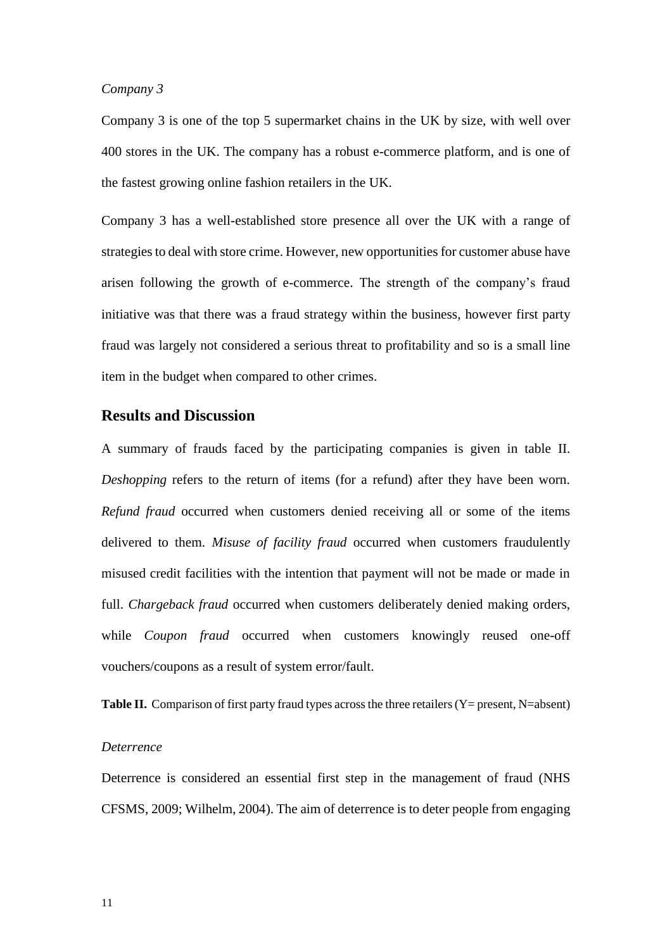### *Company 3*

Company 3 is one of the top 5 supermarket chains in the UK by size, with well over 400 stores in the UK. The company has a robust e-commerce platform, and is one of the fastest growing online fashion retailers in the UK.

Company 3 has a well-established store presence all over the UK with a range of strategies to deal with store crime. However, new opportunities for customer abuse have arisen following the growth of e-commerce. The strength of the company's fraud initiative was that there was a fraud strategy within the business, however first party fraud was largely not considered a serious threat to profitability and so is a small line item in the budget when compared to other crimes.

## **Results and Discussion**

A summary of frauds faced by the participating companies is given in table II. *Deshopping* refers to the return of items (for a refund) after they have been worn. *Refund fraud* occurred when customers denied receiving all or some of the items delivered to them. *Misuse of facility fraud* occurred when customers fraudulently misused credit facilities with the intention that payment will not be made or made in full. *Chargeback fraud* occurred when customers deliberately denied making orders, while *Coupon fraud* occurred when customers knowingly reused one-off vouchers/coupons as a result of system error/fault.

**Table II.** Comparison of first party fraud types across the three retailers (Y= present, N=absent)

#### *Deterrence*

Deterrence is considered an essential first step in the management of fraud (NHS CFSMS, 2009; Wilhelm, 2004). The aim of deterrence is to deter people from engaging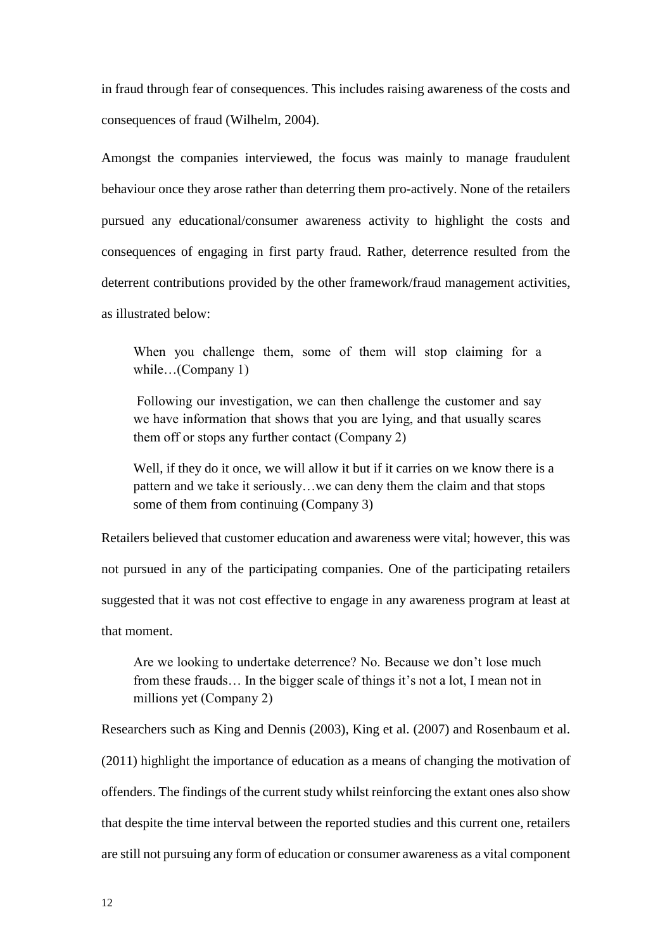in fraud through fear of consequences. This includes raising awareness of the costs and consequences of fraud (Wilhelm, 2004).

Amongst the companies interviewed, the focus was mainly to manage fraudulent behaviour once they arose rather than deterring them pro-actively. None of the retailers pursued any educational/consumer awareness activity to highlight the costs and consequences of engaging in first party fraud. Rather, deterrence resulted from the deterrent contributions provided by the other framework/fraud management activities, as illustrated below:

When you challenge them, some of them will stop claiming for a while…(Company 1)

Following our investigation, we can then challenge the customer and say we have information that shows that you are lying, and that usually scares them off or stops any further contact (Company 2)

Well, if they do it once, we will allow it but if it carries on we know there is a pattern and we take it seriously…we can deny them the claim and that stops some of them from continuing (Company 3)

Retailers believed that customer education and awareness were vital; however, this was not pursued in any of the participating companies. One of the participating retailers suggested that it was not cost effective to engage in any awareness program at least at that moment.

Are we looking to undertake deterrence? No. Because we don't lose much from these frauds… In the bigger scale of things it's not a lot, I mean not in millions yet (Company 2)

Researchers such as King and Dennis (2003), King et al. (2007) and Rosenbaum et al. (2011) highlight the importance of education as a means of changing the motivation of offenders. The findings of the current study whilst reinforcing the extant ones also show that despite the time interval between the reported studies and this current one, retailers are still not pursuing any form of education or consumer awareness as a vital component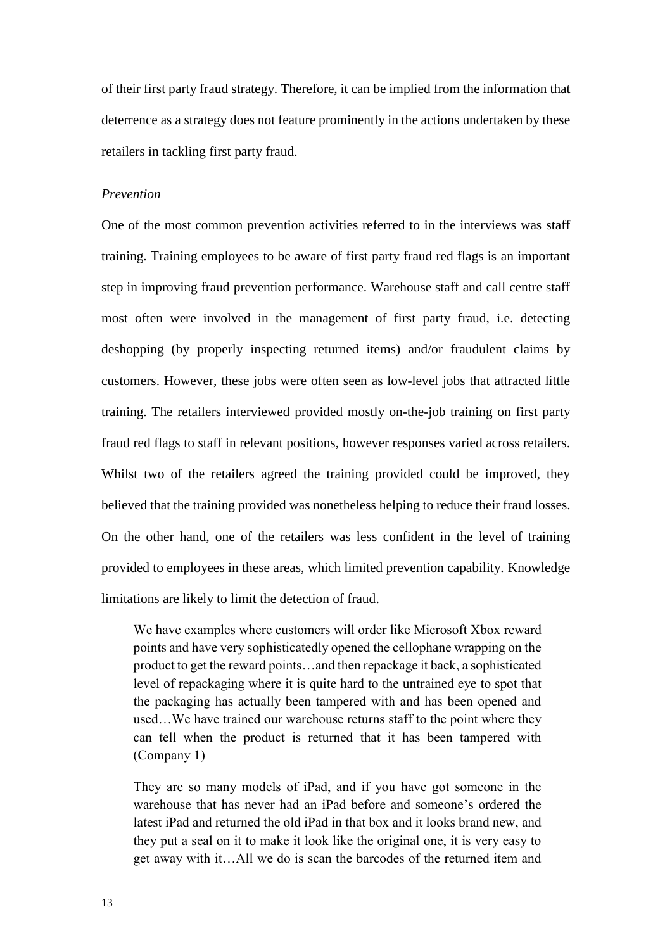of their first party fraud strategy. Therefore, it can be implied from the information that deterrence as a strategy does not feature prominently in the actions undertaken by these retailers in tackling first party fraud.

#### *Prevention*

One of the most common prevention activities referred to in the interviews was staff training. Training employees to be aware of first party fraud red flags is an important step in improving fraud prevention performance. Warehouse staff and call centre staff most often were involved in the management of first party fraud, i.e. detecting deshopping (by properly inspecting returned items) and/or fraudulent claims by customers. However, these jobs were often seen as low-level jobs that attracted little training. The retailers interviewed provided mostly on-the-job training on first party fraud red flags to staff in relevant positions, however responses varied across retailers. Whilst two of the retailers agreed the training provided could be improved, they believed that the training provided was nonetheless helping to reduce their fraud losses. On the other hand, one of the retailers was less confident in the level of training provided to employees in these areas, which limited prevention capability. Knowledge limitations are likely to limit the detection of fraud.

We have examples where customers will order like Microsoft Xbox reward points and have very sophisticatedly opened the cellophane wrapping on the product to get the reward points…and then repackage it back, a sophisticated level of repackaging where it is quite hard to the untrained eye to spot that the packaging has actually been tampered with and has been opened and used…We have trained our warehouse returns staff to the point where they can tell when the product is returned that it has been tampered with (Company 1)

They are so many models of iPad, and if you have got someone in the warehouse that has never had an iPad before and someone's ordered the latest iPad and returned the old iPad in that box and it looks brand new, and they put a seal on it to make it look like the original one, it is very easy to get away with it…All we do is scan the barcodes of the returned item and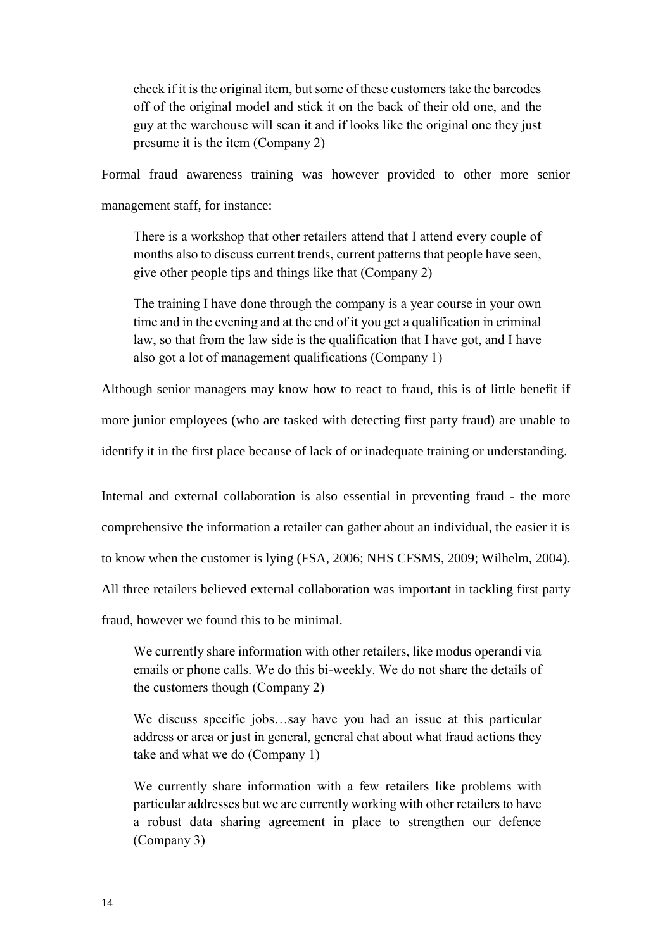check if it is the original item, but some of these customers take the barcodes off of the original model and stick it on the back of their old one, and the guy at the warehouse will scan it and if looks like the original one they just presume it is the item (Company 2)

Formal fraud awareness training was however provided to other more senior management staff, for instance:

There is a workshop that other retailers attend that I attend every couple of months also to discuss current trends, current patterns that people have seen, give other people tips and things like that (Company 2)

The training I have done through the company is a year course in your own time and in the evening and at the end of it you get a qualification in criminal law, so that from the law side is the qualification that I have got, and I have also got a lot of management qualifications (Company 1)

Although senior managers may know how to react to fraud, this is of little benefit if more junior employees (who are tasked with detecting first party fraud) are unable to identify it in the first place because of lack of or inadequate training or understanding.

Internal and external collaboration is also essential in preventing fraud - the more comprehensive the information a retailer can gather about an individual, the easier it is to know when the customer is lying (FSA, 2006; NHS CFSMS, 2009; Wilhelm, 2004). All three retailers believed external collaboration was important in tackling first party fraud, however we found this to be minimal.

We currently share information with other retailers, like modus operandi via emails or phone calls. We do this bi-weekly. We do not share the details of the customers though (Company 2)

We discuss specific jobs…say have you had an issue at this particular address or area or just in general, general chat about what fraud actions they take and what we do (Company 1)

We currently share information with a few retailers like problems with particular addresses but we are currently working with other retailers to have a robust data sharing agreement in place to strengthen our defence (Company 3)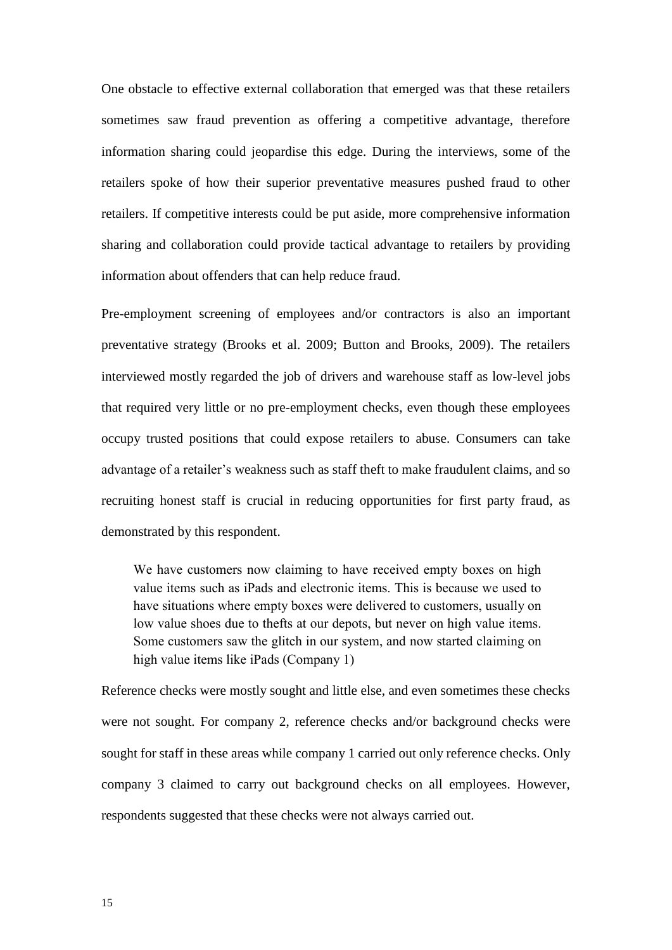One obstacle to effective external collaboration that emerged was that these retailers sometimes saw fraud prevention as offering a competitive advantage, therefore information sharing could jeopardise this edge. During the interviews, some of the retailers spoke of how their superior preventative measures pushed fraud to other retailers. If competitive interests could be put aside, more comprehensive information sharing and collaboration could provide tactical advantage to retailers by providing information about offenders that can help reduce fraud.

Pre-employment screening of employees and/or contractors is also an important preventative strategy (Brooks et al. 2009; Button and Brooks, 2009). The retailers interviewed mostly regarded the job of drivers and warehouse staff as low-level jobs that required very little or no pre-employment checks, even though these employees occupy trusted positions that could expose retailers to abuse. Consumers can take advantage of a retailer's weakness such as staff theft to make fraudulent claims, and so recruiting honest staff is crucial in reducing opportunities for first party fraud, as demonstrated by this respondent.

We have customers now claiming to have received empty boxes on high value items such as iPads and electronic items. This is because we used to have situations where empty boxes were delivered to customers, usually on low value shoes due to thefts at our depots, but never on high value items. Some customers saw the glitch in our system, and now started claiming on high value items like iPads (Company 1)

Reference checks were mostly sought and little else, and even sometimes these checks were not sought. For company 2, reference checks and/or background checks were sought for staff in these areas while company 1 carried out only reference checks. Only company 3 claimed to carry out background checks on all employees. However, respondents suggested that these checks were not always carried out.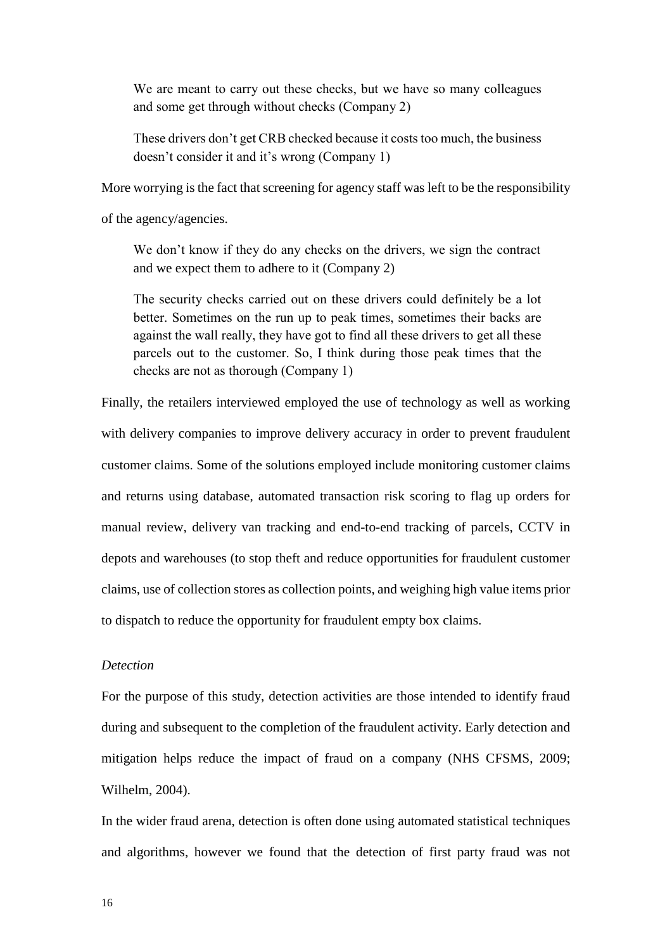We are meant to carry out these checks, but we have so many colleagues and some get through without checks (Company 2)

These drivers don't get CRB checked because it costs too much, the business doesn't consider it and it's wrong (Company 1)

More worrying is the fact that screening for agency staff was left to be the responsibility

of the agency/agencies.

We don't know if they do any checks on the drivers, we sign the contract and we expect them to adhere to it (Company 2)

The security checks carried out on these drivers could definitely be a lot better. Sometimes on the run up to peak times, sometimes their backs are against the wall really, they have got to find all these drivers to get all these parcels out to the customer. So, I think during those peak times that the checks are not as thorough (Company 1)

Finally, the retailers interviewed employed the use of technology as well as working with delivery companies to improve delivery accuracy in order to prevent fraudulent customer claims. Some of the solutions employed include monitoring customer claims and returns using database, automated transaction risk scoring to flag up orders for manual review, delivery van tracking and end-to-end tracking of parcels, CCTV in depots and warehouses (to stop theft and reduce opportunities for fraudulent customer claims, use of collection stores as collection points, and weighing high value items prior to dispatch to reduce the opportunity for fraudulent empty box claims.

## *Detection*

For the purpose of this study, detection activities are those intended to identify fraud during and subsequent to the completion of the fraudulent activity. Early detection and mitigation helps reduce the impact of fraud on a company (NHS CFSMS, 2009; Wilhelm, 2004).

In the wider fraud arena, detection is often done using automated statistical techniques and algorithms, however we found that the detection of first party fraud was not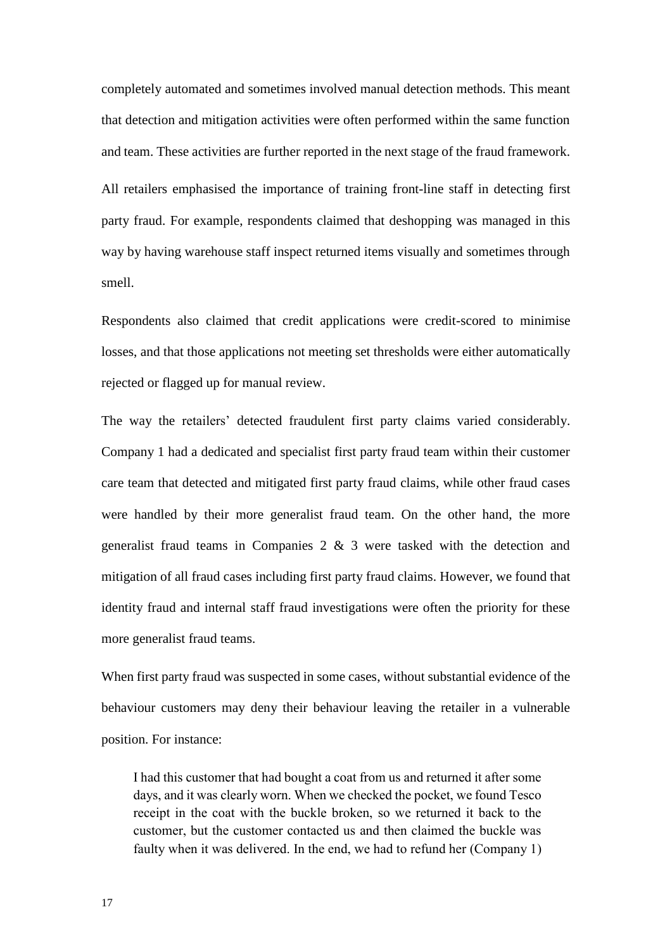completely automated and sometimes involved manual detection methods. This meant that detection and mitigation activities were often performed within the same function and team. These activities are further reported in the next stage of the fraud framework.

All retailers emphasised the importance of training front-line staff in detecting first party fraud. For example, respondents claimed that deshopping was managed in this way by having warehouse staff inspect returned items visually and sometimes through smell.

Respondents also claimed that credit applications were credit-scored to minimise losses, and that those applications not meeting set thresholds were either automatically rejected or flagged up for manual review.

The way the retailers' detected fraudulent first party claims varied considerably. Company 1 had a dedicated and specialist first party fraud team within their customer care team that detected and mitigated first party fraud claims, while other fraud cases were handled by their more generalist fraud team. On the other hand, the more generalist fraud teams in Companies 2 & 3 were tasked with the detection and mitigation of all fraud cases including first party fraud claims. However, we found that identity fraud and internal staff fraud investigations were often the priority for these more generalist fraud teams.

When first party fraud was suspected in some cases, without substantial evidence of the behaviour customers may deny their behaviour leaving the retailer in a vulnerable position. For instance:

I had this customer that had bought a coat from us and returned it after some days, and it was clearly worn. When we checked the pocket, we found Tesco receipt in the coat with the buckle broken, so we returned it back to the customer, but the customer contacted us and then claimed the buckle was faulty when it was delivered. In the end, we had to refund her (Company 1)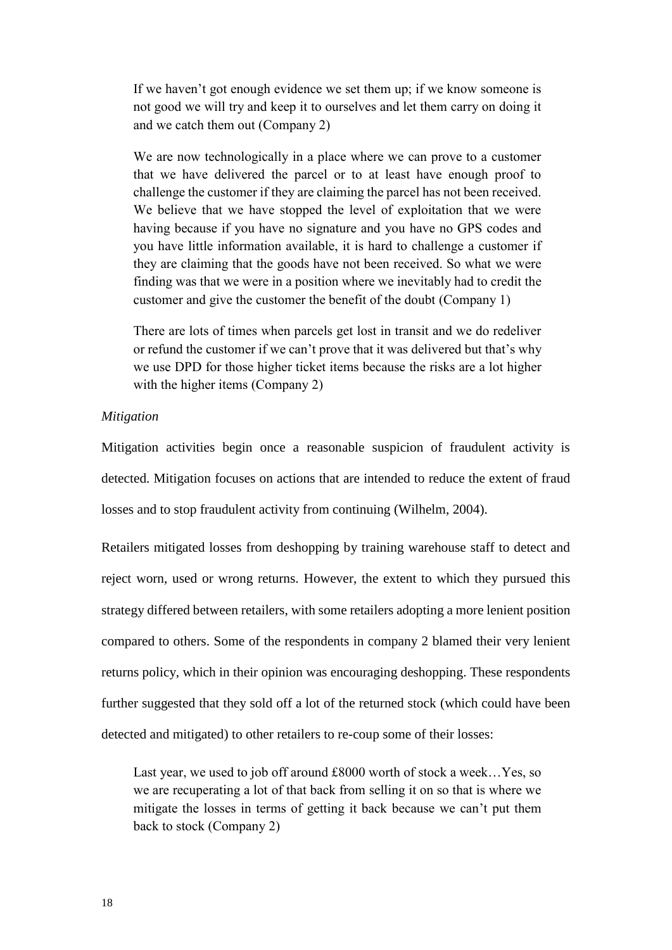If we haven't got enough evidence we set them up; if we know someone is not good we will try and keep it to ourselves and let them carry on doing it and we catch them out (Company 2)

We are now technologically in a place where we can prove to a customer that we have delivered the parcel or to at least have enough proof to challenge the customer if they are claiming the parcel has not been received. We believe that we have stopped the level of exploitation that we were having because if you have no signature and you have no GPS codes and you have little information available, it is hard to challenge a customer if they are claiming that the goods have not been received. So what we were finding was that we were in a position where we inevitably had to credit the customer and give the customer the benefit of the doubt (Company 1)

There are lots of times when parcels get lost in transit and we do redeliver or refund the customer if we can't prove that it was delivered but that's why we use DPD for those higher ticket items because the risks are a lot higher with the higher items (Company 2)

## *Mitigation*

Mitigation activities begin once a reasonable suspicion of fraudulent activity is detected. Mitigation focuses on actions that are intended to reduce the extent of fraud losses and to stop fraudulent activity from continuing (Wilhelm, 2004).

Retailers mitigated losses from deshopping by training warehouse staff to detect and reject worn, used or wrong returns. However, the extent to which they pursued this strategy differed between retailers, with some retailers adopting a more lenient position compared to others. Some of the respondents in company 2 blamed their very lenient returns policy, which in their opinion was encouraging deshopping. These respondents further suggested that they sold off a lot of the returned stock (which could have been detected and mitigated) to other retailers to re-coup some of their losses:

Last year, we used to job off around £8000 worth of stock a week…Yes, so we are recuperating a lot of that back from selling it on so that is where we mitigate the losses in terms of getting it back because we can't put them back to stock (Company 2)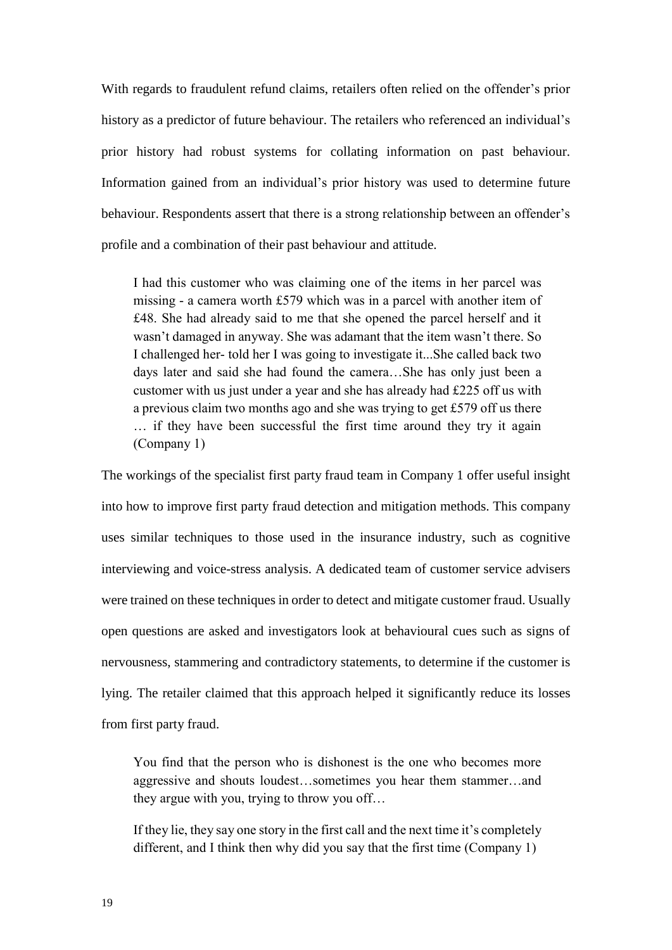With regards to fraudulent refund claims, retailers often relied on the offender's prior history as a predictor of future behaviour. The retailers who referenced an individual's prior history had robust systems for collating information on past behaviour. Information gained from an individual's prior history was used to determine future behaviour. Respondents assert that there is a strong relationship between an offender's profile and a combination of their past behaviour and attitude.

I had this customer who was claiming one of the items in her parcel was missing - a camera worth £579 which was in a parcel with another item of £48. She had already said to me that she opened the parcel herself and it wasn't damaged in anyway. She was adamant that the item wasn't there. So I challenged her- told her I was going to investigate it...She called back two days later and said she had found the camera…She has only just been a customer with us just under a year and she has already had £225 off us with a previous claim two months ago and she was trying to get £579 off us there … if they have been successful the first time around they try it again (Company 1)

The workings of the specialist first party fraud team in Company 1 offer useful insight into how to improve first party fraud detection and mitigation methods. This company uses similar techniques to those used in the insurance industry, such as cognitive interviewing and voice-stress analysis. A dedicated team of customer service advisers were trained on these techniques in order to detect and mitigate customer fraud. Usually open questions are asked and investigators look at behavioural cues such as signs of nervousness, stammering and contradictory statements, to determine if the customer is lying. The retailer claimed that this approach helped it significantly reduce its losses from first party fraud.

You find that the person who is dishonest is the one who becomes more aggressive and shouts loudest…sometimes you hear them stammer…and they argue with you, trying to throw you off…

If they lie, they say one story in the first call and the next time it's completely different, and I think then why did you say that the first time (Company 1)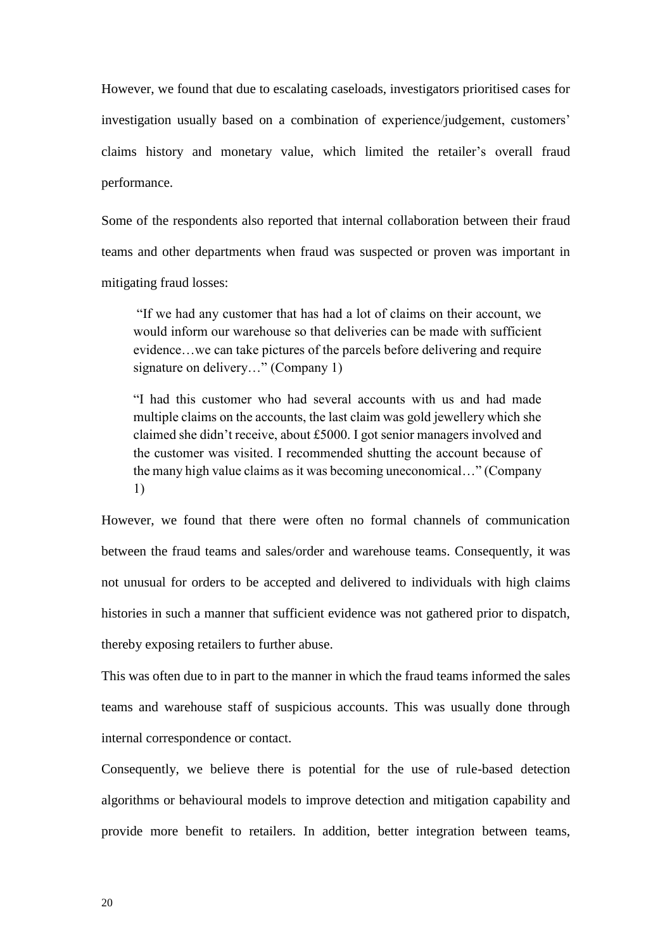However, we found that due to escalating caseloads, investigators prioritised cases for investigation usually based on a combination of experience/judgement, customers' claims history and monetary value, which limited the retailer's overall fraud performance.

Some of the respondents also reported that internal collaboration between their fraud teams and other departments when fraud was suspected or proven was important in mitigating fraud losses:

"If we had any customer that has had a lot of claims on their account, we would inform our warehouse so that deliveries can be made with sufficient evidence…we can take pictures of the parcels before delivering and require signature on delivery..." (Company 1)

"I had this customer who had several accounts with us and had made multiple claims on the accounts, the last claim was gold jewellery which she claimed she didn't receive, about £5000. I got senior managers involved and the customer was visited. I recommended shutting the account because of the many high value claims as it was becoming uneconomical…" (Company 1)

However, we found that there were often no formal channels of communication between the fraud teams and sales/order and warehouse teams. Consequently, it was not unusual for orders to be accepted and delivered to individuals with high claims histories in such a manner that sufficient evidence was not gathered prior to dispatch, thereby exposing retailers to further abuse.

This was often due to in part to the manner in which the fraud teams informed the sales teams and warehouse staff of suspicious accounts. This was usually done through internal correspondence or contact.

Consequently, we believe there is potential for the use of rule-based detection algorithms or behavioural models to improve detection and mitigation capability and provide more benefit to retailers. In addition, better integration between teams,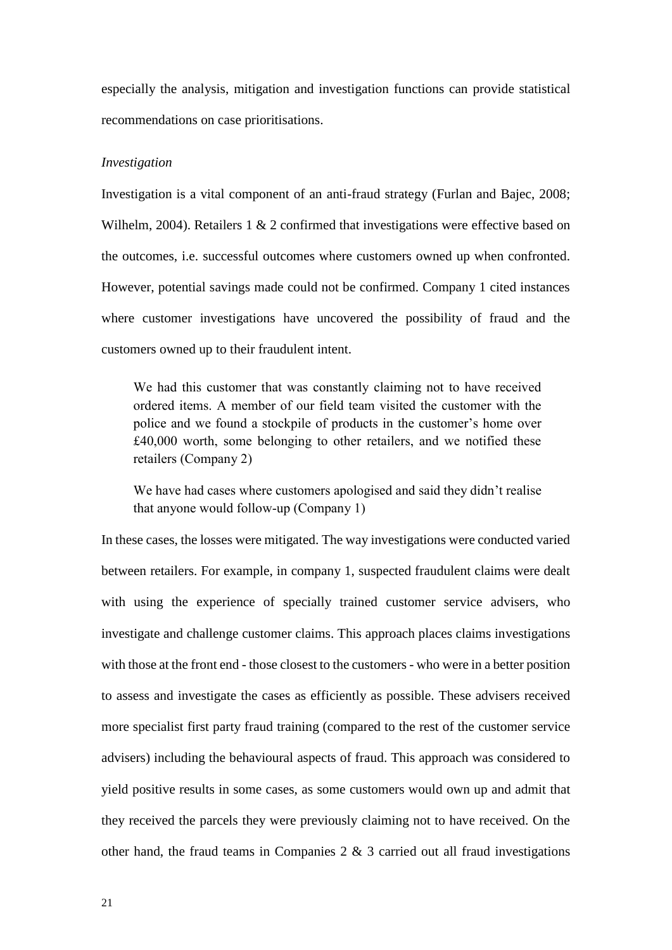especially the analysis, mitigation and investigation functions can provide statistical recommendations on case prioritisations.

#### *Investigation*

Investigation is a vital component of an anti-fraud strategy (Furlan and Bajec, 2008; Wilhelm, 2004). Retailers 1 & 2 confirmed that investigations were effective based on the outcomes, i.e. successful outcomes where customers owned up when confronted. However, potential savings made could not be confirmed. Company 1 cited instances where customer investigations have uncovered the possibility of fraud and the customers owned up to their fraudulent intent.

We had this customer that was constantly claiming not to have received ordered items. A member of our field team visited the customer with the police and we found a stockpile of products in the customer's home over £40,000 worth, some belonging to other retailers, and we notified these retailers (Company 2)

We have had cases where customers apologised and said they didn't realise that anyone would follow-up (Company 1)

In these cases, the losses were mitigated. The way investigations were conducted varied between retailers. For example, in company 1, suspected fraudulent claims were dealt with using the experience of specially trained customer service advisers, who investigate and challenge customer claims. This approach places claims investigations with those at the front end - those closest to the customers - who were in a better position to assess and investigate the cases as efficiently as possible. These advisers received more specialist first party fraud training (compared to the rest of the customer service advisers) including the behavioural aspects of fraud. This approach was considered to yield positive results in some cases, as some customers would own up and admit that they received the parcels they were previously claiming not to have received. On the other hand, the fraud teams in Companies 2 & 3 carried out all fraud investigations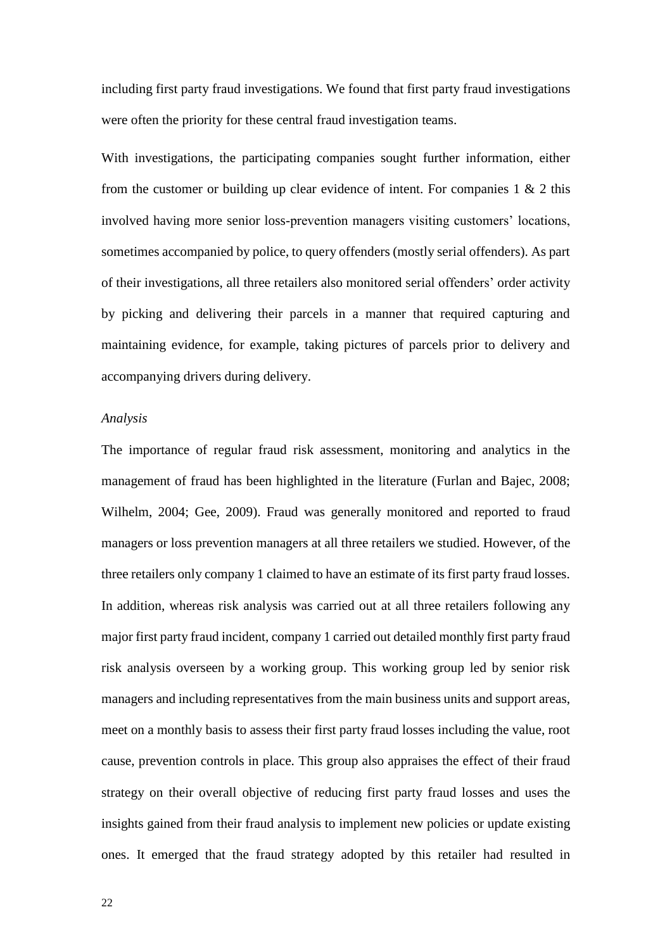including first party fraud investigations. We found that first party fraud investigations were often the priority for these central fraud investigation teams.

With investigations, the participating companies sought further information, either from the customer or building up clear evidence of intent. For companies  $1 \& 2$  this involved having more senior loss-prevention managers visiting customers' locations, sometimes accompanied by police, to query offenders (mostly serial offenders). As part of their investigations, all three retailers also monitored serial offenders' order activity by picking and delivering their parcels in a manner that required capturing and maintaining evidence, for example, taking pictures of parcels prior to delivery and accompanying drivers during delivery.

## *Analysis*

The importance of regular fraud risk assessment, monitoring and analytics in the management of fraud has been highlighted in the literature (Furlan and Bajec, 2008; Wilhelm, 2004; Gee, 2009). Fraud was generally monitored and reported to fraud managers or loss prevention managers at all three retailers we studied. However, of the three retailers only company 1 claimed to have an estimate of its first party fraud losses. In addition, whereas risk analysis was carried out at all three retailers following any major first party fraud incident, company 1 carried out detailed monthly first party fraud risk analysis overseen by a working group. This working group led by senior risk managers and including representatives from the main business units and support areas, meet on a monthly basis to assess their first party fraud losses including the value, root cause, prevention controls in place. This group also appraises the effect of their fraud strategy on their overall objective of reducing first party fraud losses and uses the insights gained from their fraud analysis to implement new policies or update existing ones. It emerged that the fraud strategy adopted by this retailer had resulted in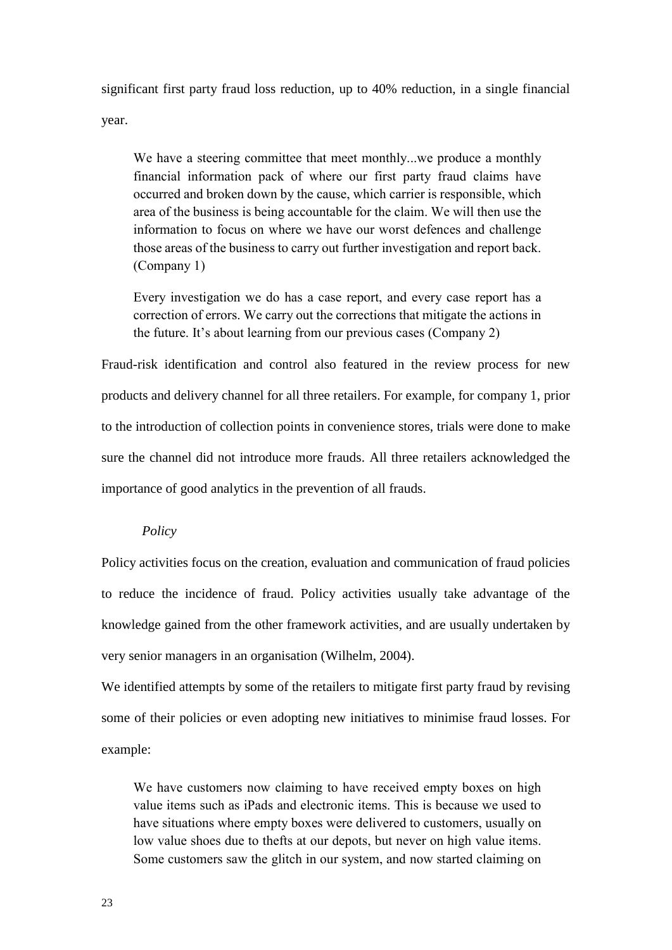significant first party fraud loss reduction, up to 40% reduction, in a single financial year.

We have a steering committee that meet monthly...we produce a monthly financial information pack of where our first party fraud claims have occurred and broken down by the cause, which carrier is responsible, which area of the business is being accountable for the claim. We will then use the information to focus on where we have our worst defences and challenge those areas of the business to carry out further investigation and report back. (Company 1)

Every investigation we do has a case report, and every case report has a correction of errors. We carry out the corrections that mitigate the actions in the future. It's about learning from our previous cases (Company 2)

Fraud-risk identification and control also featured in the review process for new products and delivery channel for all three retailers. For example, for company 1, prior to the introduction of collection points in convenience stores, trials were done to make sure the channel did not introduce more frauds. All three retailers acknowledged the importance of good analytics in the prevention of all frauds.

#### *Policy*

Policy activities focus on the creation, evaluation and communication of fraud policies to reduce the incidence of fraud. Policy activities usually take advantage of the knowledge gained from the other framework activities, and are usually undertaken by very senior managers in an organisation (Wilhelm, 2004).

We identified attempts by some of the retailers to mitigate first party fraud by revising some of their policies or even adopting new initiatives to minimise fraud losses. For example:

We have customers now claiming to have received empty boxes on high value items such as iPads and electronic items. This is because we used to have situations where empty boxes were delivered to customers, usually on low value shoes due to thefts at our depots, but never on high value items. Some customers saw the glitch in our system, and now started claiming on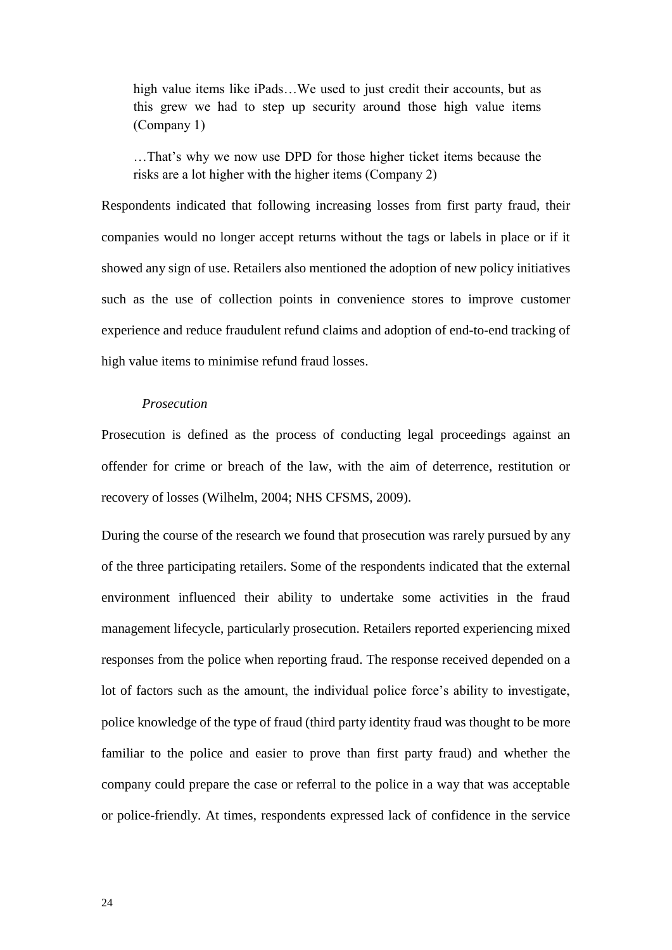high value items like iPads...We used to just credit their accounts, but as this grew we had to step up security around those high value items (Company 1)

…That's why we now use DPD for those higher ticket items because the risks are a lot higher with the higher items (Company 2)

Respondents indicated that following increasing losses from first party fraud, their companies would no longer accept returns without the tags or labels in place or if it showed any sign of use. Retailers also mentioned the adoption of new policy initiatives such as the use of collection points in convenience stores to improve customer experience and reduce fraudulent refund claims and adoption of end-to-end tracking of high value items to minimise refund fraud losses.

### *Prosecution*

Prosecution is defined as the process of conducting legal proceedings against an offender for crime or breach of the law, with the aim of deterrence, restitution or recovery of losses (Wilhelm, 2004; NHS CFSMS, 2009).

During the course of the research we found that prosecution was rarely pursued by any of the three participating retailers. Some of the respondents indicated that the external environment influenced their ability to undertake some activities in the fraud management lifecycle, particularly prosecution. Retailers reported experiencing mixed responses from the police when reporting fraud. The response received depended on a lot of factors such as the amount, the individual police force's ability to investigate, police knowledge of the type of fraud (third party identity fraud was thought to be more familiar to the police and easier to prove than first party fraud) and whether the company could prepare the case or referral to the police in a way that was acceptable or police-friendly. At times, respondents expressed lack of confidence in the service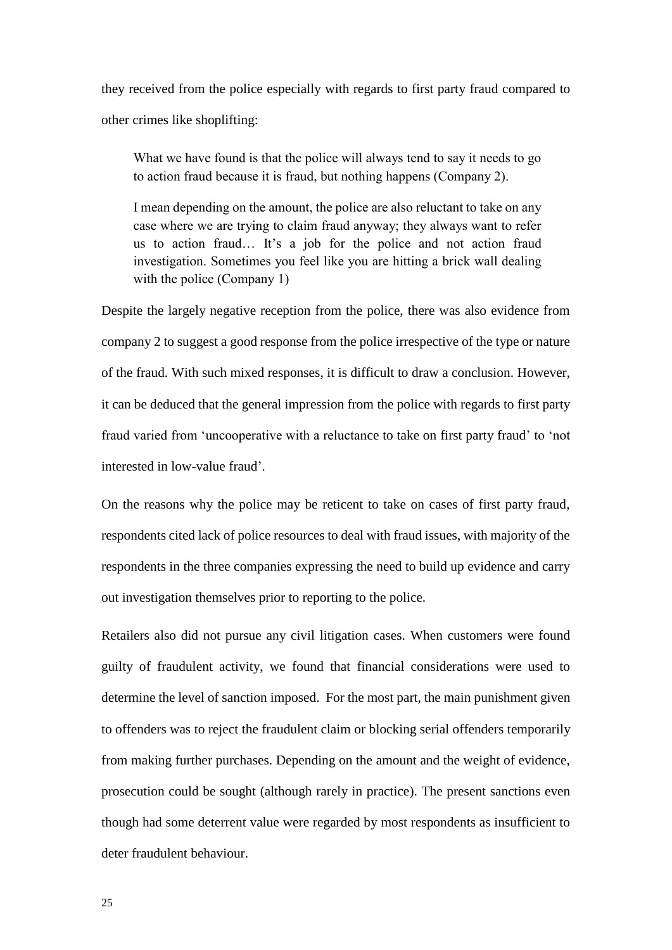they received from the police especially with regards to first party fraud compared to other crimes like shoplifting:

What we have found is that the police will always tend to say it needs to go to action fraud because it is fraud, but nothing happens (Company 2).

I mean depending on the amount, the police are also reluctant to take on any case where we are trying to claim fraud anyway; they always want to refer us to action fraud… It's a job for the police and not action fraud investigation. Sometimes you feel like you are hitting a brick wall dealing with the police (Company 1)

Despite the largely negative reception from the police, there was also evidence from company 2 to suggest a good response from the police irrespective of the type or nature of the fraud. With such mixed responses, it is difficult to draw a conclusion. However, it can be deduced that the general impression from the police with regards to first party fraud varied from 'uncooperative with a reluctance to take on first party fraud' to 'not interested in low-value fraud'.

On the reasons why the police may be reticent to take on cases of first party fraud, respondents cited lack of police resources to deal with fraud issues, with majority of the respondents in the three companies expressing the need to build up evidence and carry out investigation themselves prior to reporting to the police.

Retailers also did not pursue any civil litigation cases. When customers were found guilty of fraudulent activity, we found that financial considerations were used to determine the level of sanction imposed. For the most part, the main punishment given to offenders was to reject the fraudulent claim or blocking serial offenders temporarily from making further purchases. Depending on the amount and the weight of evidence, prosecution could be sought (although rarely in practice). The present sanctions even though had some deterrent value were regarded by most respondents as insufficient to deter fraudulent behaviour.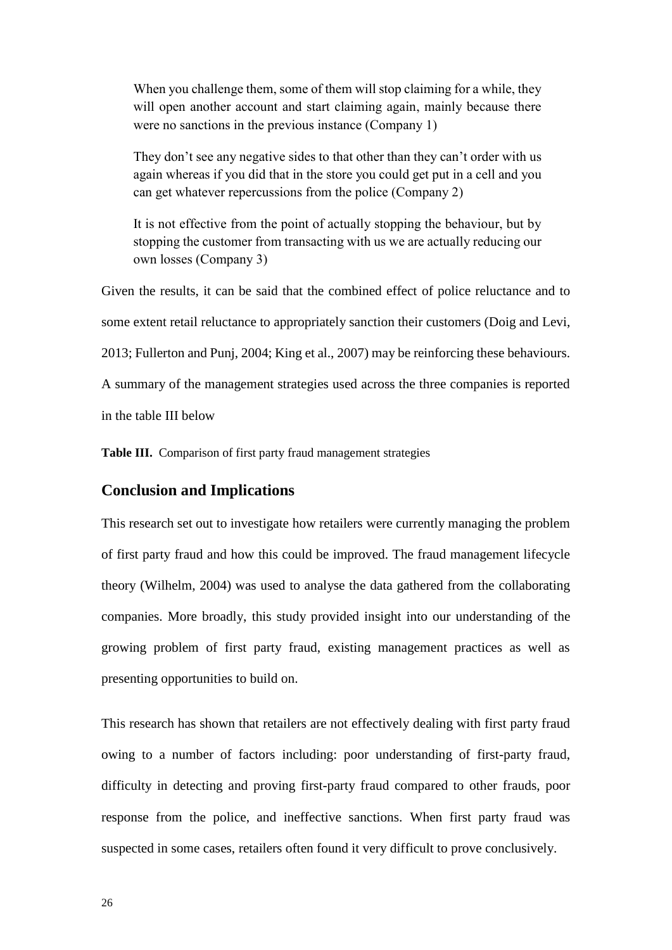When you challenge them, some of them will stop claiming for a while, they will open another account and start claiming again, mainly because there were no sanctions in the previous instance (Company 1)

They don't see any negative sides to that other than they can't order with us again whereas if you did that in the store you could get put in a cell and you can get whatever repercussions from the police (Company 2)

It is not effective from the point of actually stopping the behaviour, but by stopping the customer from transacting with us we are actually reducing our own losses (Company 3)

Given the results, it can be said that the combined effect of police reluctance and to some extent retail reluctance to appropriately sanction their customers (Doig and Levi, 2013; Fullerton and Punj, 2004; King et al., 2007) may be reinforcing these behaviours. A summary of the management strategies used across the three companies is reported in the table III below

**Table III.** Comparison of first party fraud management strategies

## **Conclusion and Implications**

This research set out to investigate how retailers were currently managing the problem of first party fraud and how this could be improved. The fraud management lifecycle theory (Wilhelm, 2004) was used to analyse the data gathered from the collaborating companies. More broadly, this study provided insight into our understanding of the growing problem of first party fraud, existing management practices as well as presenting opportunities to build on.

This research has shown that retailers are not effectively dealing with first party fraud owing to a number of factors including: poor understanding of first-party fraud, difficulty in detecting and proving first-party fraud compared to other frauds, poor response from the police, and ineffective sanctions. When first party fraud was suspected in some cases, retailers often found it very difficult to prove conclusively.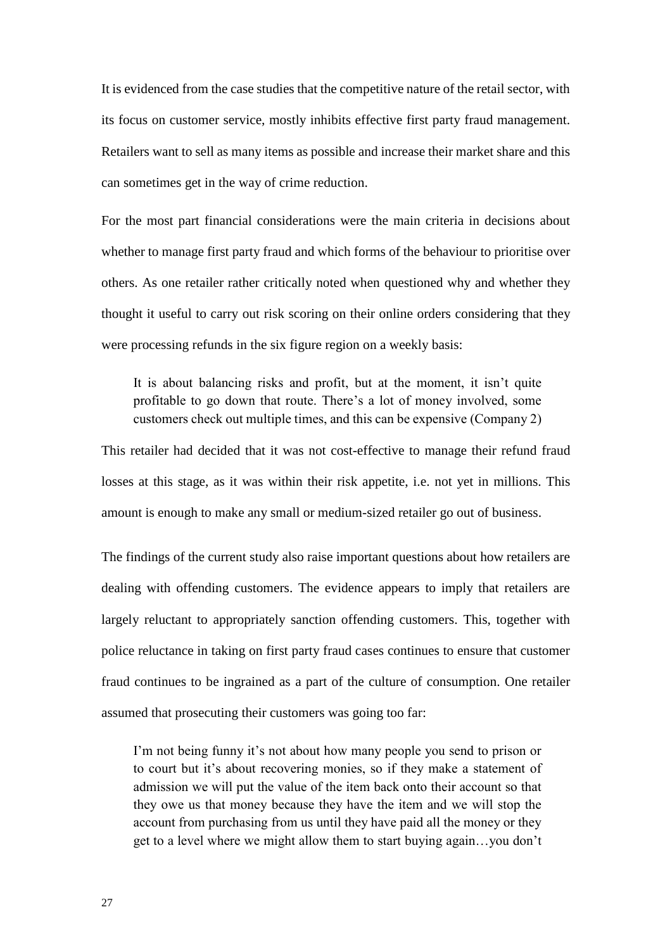It is evidenced from the case studies that the competitive nature of the retail sector, with its focus on customer service, mostly inhibits effective first party fraud management. Retailers want to sell as many items as possible and increase their market share and this can sometimes get in the way of crime reduction.

For the most part financial considerations were the main criteria in decisions about whether to manage first party fraud and which forms of the behaviour to prioritise over others. As one retailer rather critically noted when questioned why and whether they thought it useful to carry out risk scoring on their online orders considering that they were processing refunds in the six figure region on a weekly basis:

It is about balancing risks and profit, but at the moment, it isn't quite profitable to go down that route. There's a lot of money involved, some customers check out multiple times, and this can be expensive (Company 2)

This retailer had decided that it was not cost-effective to manage their refund fraud losses at this stage, as it was within their risk appetite, i.e. not yet in millions. This amount is enough to make any small or medium-sized retailer go out of business.

The findings of the current study also raise important questions about how retailers are dealing with offending customers. The evidence appears to imply that retailers are largely reluctant to appropriately sanction offending customers. This, together with police reluctance in taking on first party fraud cases continues to ensure that customer fraud continues to be ingrained as a part of the culture of consumption. One retailer assumed that prosecuting their customers was going too far:

I'm not being funny it's not about how many people you send to prison or to court but it's about recovering monies, so if they make a statement of admission we will put the value of the item back onto their account so that they owe us that money because they have the item and we will stop the account from purchasing from us until they have paid all the money or they get to a level where we might allow them to start buying again…you don't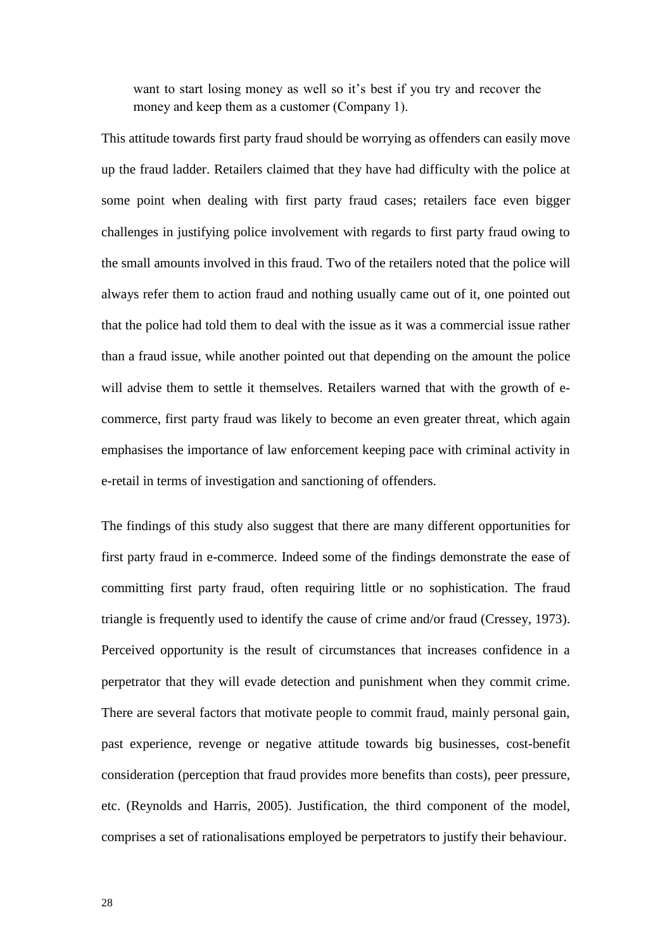want to start losing money as well so it's best if you try and recover the money and keep them as a customer (Company 1).

This attitude towards first party fraud should be worrying as offenders can easily move up the fraud ladder. Retailers claimed that they have had difficulty with the police at some point when dealing with first party fraud cases; retailers face even bigger challenges in justifying police involvement with regards to first party fraud owing to the small amounts involved in this fraud. Two of the retailers noted that the police will always refer them to action fraud and nothing usually came out of it, one pointed out that the police had told them to deal with the issue as it was a commercial issue rather than a fraud issue, while another pointed out that depending on the amount the police will advise them to settle it themselves. Retailers warned that with the growth of ecommerce, first party fraud was likely to become an even greater threat, which again emphasises the importance of law enforcement keeping pace with criminal activity in e-retail in terms of investigation and sanctioning of offenders.

The findings of this study also suggest that there are many different opportunities for first party fraud in e-commerce. Indeed some of the findings demonstrate the ease of committing first party fraud, often requiring little or no sophistication. The fraud triangle is frequently used to identify the cause of crime and/or fraud (Cressey, 1973). Perceived opportunity is the result of circumstances that increases confidence in a perpetrator that they will evade detection and punishment when they commit crime. There are several factors that motivate people to commit fraud, mainly personal gain, past experience, revenge or negative attitude towards big businesses, cost-benefit consideration (perception that fraud provides more benefits than costs), peer pressure, etc. (Reynolds and Harris, 2005). Justification, the third component of the model, comprises a set of rationalisations employed be perpetrators to justify their behaviour.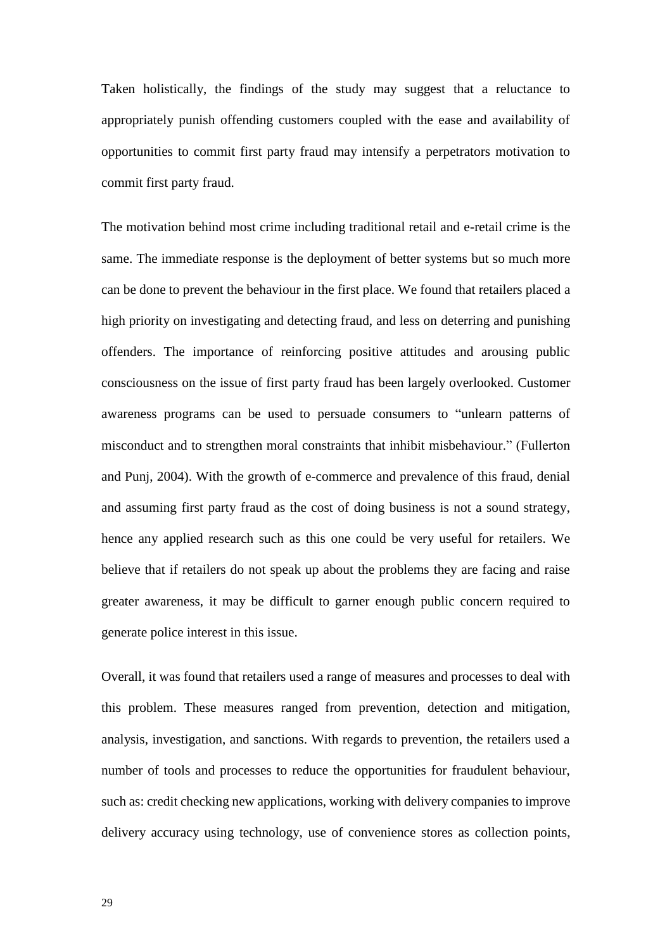Taken holistically, the findings of the study may suggest that a reluctance to appropriately punish offending customers coupled with the ease and availability of opportunities to commit first party fraud may intensify a perpetrators motivation to commit first party fraud.

The motivation behind most crime including traditional retail and e-retail crime is the same. The immediate response is the deployment of better systems but so much more can be done to prevent the behaviour in the first place. We found that retailers placed a high priority on investigating and detecting fraud, and less on deterring and punishing offenders. The importance of reinforcing positive attitudes and arousing public consciousness on the issue of first party fraud has been largely overlooked. Customer awareness programs can be used to persuade consumers to "unlearn patterns of misconduct and to strengthen moral constraints that inhibit misbehaviour." (Fullerton and Punj, 2004). With the growth of e-commerce and prevalence of this fraud, denial and assuming first party fraud as the cost of doing business is not a sound strategy, hence any applied research such as this one could be very useful for retailers. We believe that if retailers do not speak up about the problems they are facing and raise greater awareness, it may be difficult to garner enough public concern required to generate police interest in this issue.

Overall, it was found that retailers used a range of measures and processes to deal with this problem. These measures ranged from prevention, detection and mitigation, analysis, investigation, and sanctions. With regards to prevention, the retailers used a number of tools and processes to reduce the opportunities for fraudulent behaviour, such as: credit checking new applications, working with delivery companies to improve delivery accuracy using technology, use of convenience stores as collection points,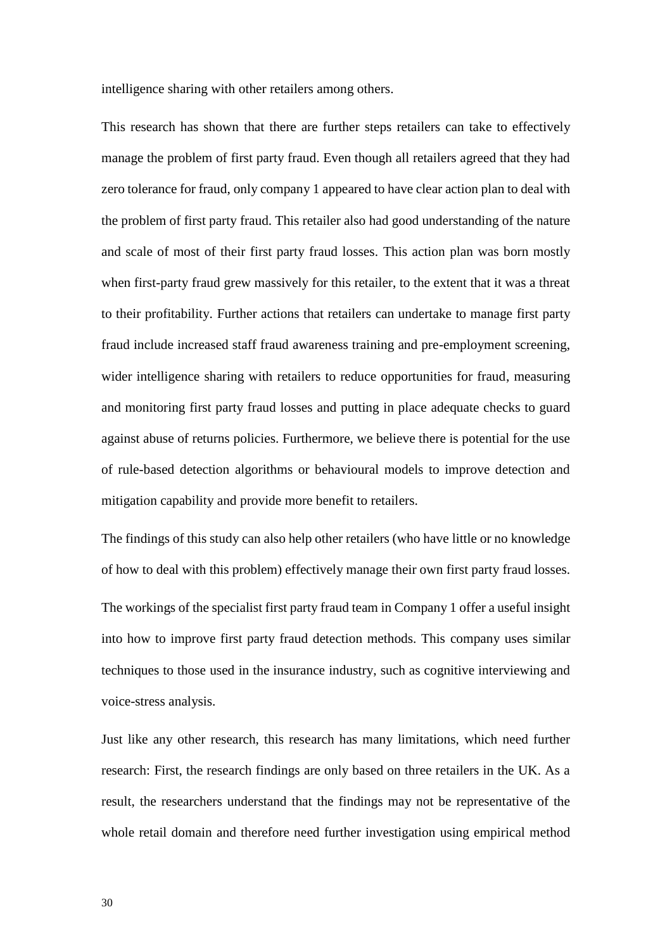intelligence sharing with other retailers among others.

This research has shown that there are further steps retailers can take to effectively manage the problem of first party fraud. Even though all retailers agreed that they had zero tolerance for fraud, only company 1 appeared to have clear action plan to deal with the problem of first party fraud. This retailer also had good understanding of the nature and scale of most of their first party fraud losses. This action plan was born mostly when first-party fraud grew massively for this retailer, to the extent that it was a threat to their profitability. Further actions that retailers can undertake to manage first party fraud include increased staff fraud awareness training and pre-employment screening, wider intelligence sharing with retailers to reduce opportunities for fraud, measuring and monitoring first party fraud losses and putting in place adequate checks to guard against abuse of returns policies. Furthermore, we believe there is potential for the use of rule-based detection algorithms or behavioural models to improve detection and mitigation capability and provide more benefit to retailers.

The findings of this study can also help other retailers (who have little or no knowledge of how to deal with this problem) effectively manage their own first party fraud losses. The workings of the specialist first party fraud team in Company 1 offer a useful insight into how to improve first party fraud detection methods. This company uses similar techniques to those used in the insurance industry, such as cognitive interviewing and voice-stress analysis.

Just like any other research, this research has many limitations, which need further research: First, the research findings are only based on three retailers in the UK. As a result, the researchers understand that the findings may not be representative of the whole retail domain and therefore need further investigation using empirical method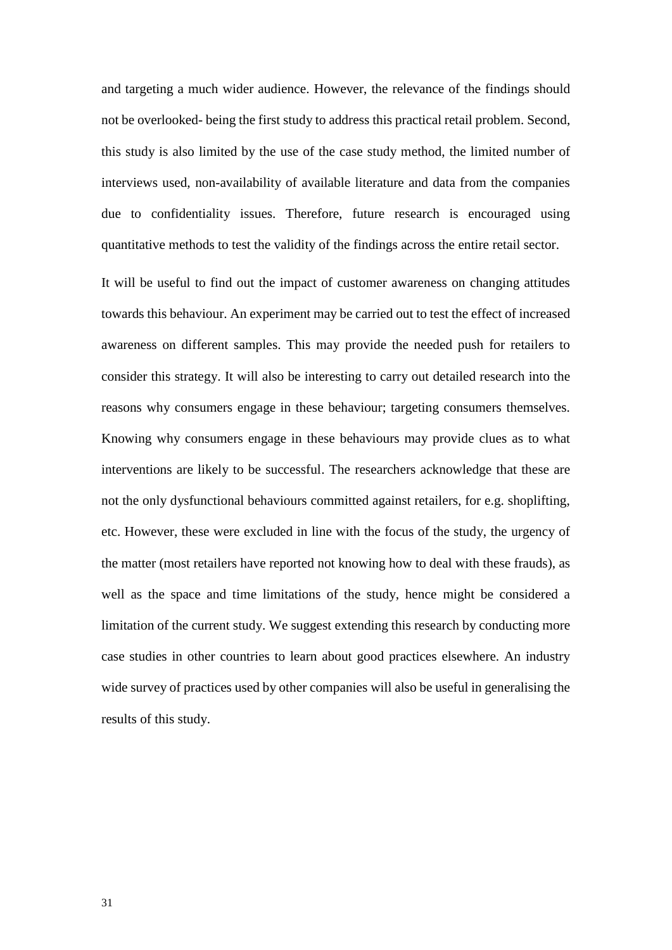and targeting a much wider audience. However, the relevance of the findings should not be overlooked- being the first study to address this practical retail problem. Second, this study is also limited by the use of the case study method, the limited number of interviews used, non-availability of available literature and data from the companies due to confidentiality issues. Therefore, future research is encouraged using quantitative methods to test the validity of the findings across the entire retail sector.

It will be useful to find out the impact of customer awareness on changing attitudes towards this behaviour. An experiment may be carried out to test the effect of increased awareness on different samples. This may provide the needed push for retailers to consider this strategy. It will also be interesting to carry out detailed research into the reasons why consumers engage in these behaviour; targeting consumers themselves. Knowing why consumers engage in these behaviours may provide clues as to what interventions are likely to be successful. The researchers acknowledge that these are not the only dysfunctional behaviours committed against retailers, for e.g. shoplifting, etc. However, these were excluded in line with the focus of the study, the urgency of the matter (most retailers have reported not knowing how to deal with these frauds), as well as the space and time limitations of the study, hence might be considered a limitation of the current study. We suggest extending this research by conducting more case studies in other countries to learn about good practices elsewhere. An industry wide survey of practices used by other companies will also be useful in generalising the results of this study.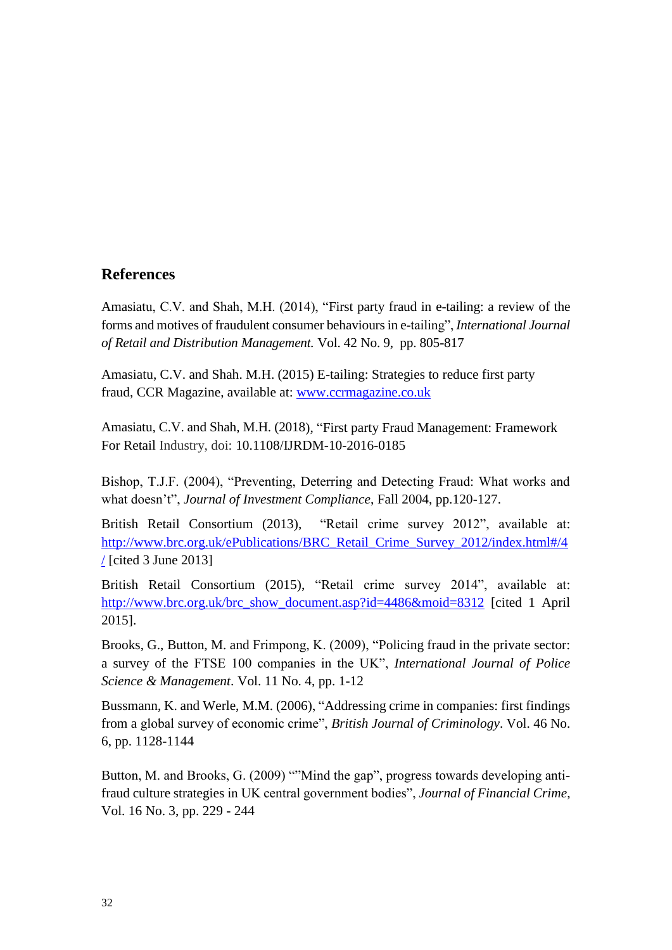## **References**

Amasiatu, C.V. and Shah, M.H. (2014), "First party fraud in e-tailing: a review of the forms and motives of fraudulent consumer behaviours in e-tailing", *International Journal of Retail and Distribution Management.* Vol. 42 No. 9, pp. 805-817

Amasiatu, C.V. and Shah. M.H. (2015) E-tailing: Strategies to reduce first party fraud, CCR Magazine, available at: [www.ccrmagazine.co.uk](http://www.ccrmagazine.co.uk/)

Amasiatu, C.V. and Shah, M.H. (2018), "First party Fraud Management: Framework For Retail Industry, doi: 10.1108/IJRDM-10-2016-0185

Bishop, T.J.F. (2004), "Preventing, Deterring and Detecting Fraud: What works and what doesn't", *Journal of Investment Compliance*, Fall 2004, pp.120-127.

British Retail Consortium (2013), "Retail crime survey 2012", available at: [http://www.brc.org.uk/ePublications/BRC\\_Retail\\_Crime\\_Survey\\_2012/index.html#/4](http://www.brc.org.uk/ePublications/BRC_Retail_Crime_Survey_2012/index.html#/4/) [/](http://www.brc.org.uk/ePublications/BRC_Retail_Crime_Survey_2012/index.html#/4/) [cited 3 June 2013]

British Retail Consortium (2015), "Retail crime survey 2014", available at: [http://www.brc.org.uk/brc\\_show\\_document.asp?id=4486&moid=8312](http://www.brc.org.uk/brc_show_document.asp?id=4486&moid=8312) [cited 1 April 2015].

Brooks, G., Button, M. and Frimpong, K. (2009), "Policing fraud in the private sector: a survey of the FTSE 100 companies in the UK", *International Journal of Police Science & Management*. Vol. 11 No. 4, pp. 1-12

Bussmann, K. and Werle, M.M. (2006), "Addressing crime in companies: first findings from a global survey of economic crime", *British Journal of Criminology*. Vol. 46 No. 6, pp. 1128-1144

Button, M. and Brooks, G. (2009) ""Mind the gap", progress towards developing antifraud culture strategies in UK central government bodies", *Journal of Financial Crime*, Vol. 16 No. 3, pp. 229 - 244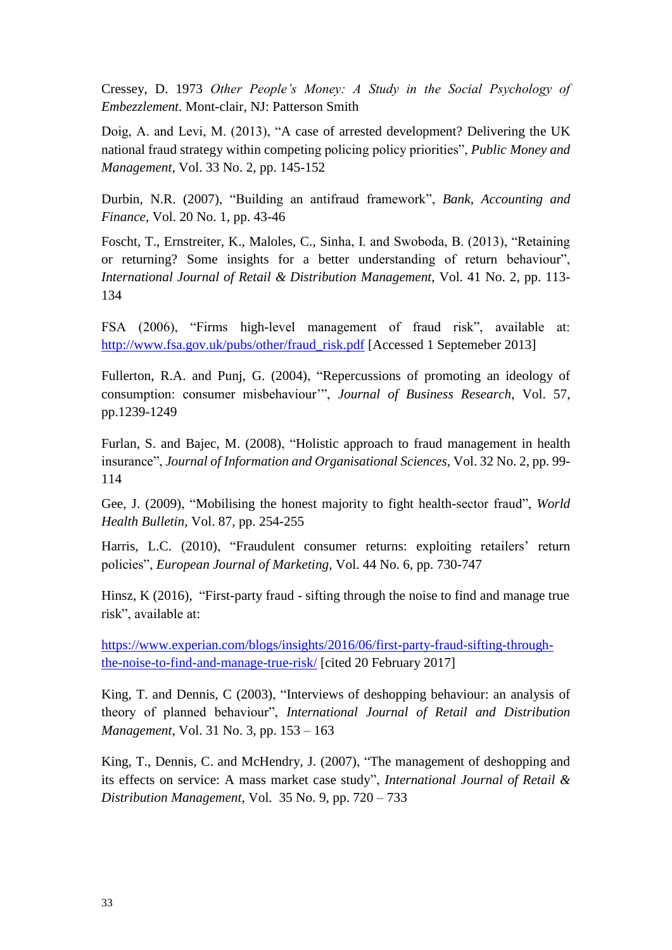Cressey, D. 1973 *Other People's Money: A Study in the Social Psychology of Embezzlement*. Mont-clair, NJ: Patterson Smith

Doig, A. and Levi, M. (2013), "A case of arrested development? Delivering the UK national fraud strategy within competing policing policy priorities", *Public Money and Management,* Vol. 33 No. 2, pp. 145-152

Durbin, N.R. (2007), "Building an antifraud framework", *Bank, Accounting and Finance,* Vol. 20 No. 1, pp. 43-46

Foscht, T., Ernstreiter, K., Maloles, C., Sinha, I. and Swoboda, B. (2013), "Retaining or returning? Some insights for a better understanding of return behaviour", *International Journal of Retail & Distribution Management*, Vol. 41 No. 2, pp. 113- 134

FSA (2006), "Firms high-level management of fraud risk", available at: [http://www.fsa.gov.uk/pubs/other/fraud\\_risk.pdf](http://www.fsa.gov.uk/pubs/other/fraud_risk.pdf) [Accessed 1 Septemeber 2013]

Fullerton, R.A. and Punj, G. (2004), "Repercussions of promoting an ideology of consumption: consumer misbehaviour'", *Journal of Business Research*, Vol. 57, pp.1239-1249

Furlan, S. and Bajec, M. (2008), "Holistic approach to fraud management in health insurance", *Journal of Information and Organisational Sciences,* Vol. 32 No. 2, pp. 99- 114

Gee, J. (2009), "Mobilising the honest majority to fight health-sector fraud", *World Health Bulletin,* Vol. 87, pp. 254-255

Harris, L.C. (2010), "Fraudulent consumer returns: exploiting retailers' return policies", *European Journal of Marketing,* Vol. 44 No. 6, pp. 730-747

Hinsz, K (2016), "First-party fraud - sifting through the noise to find and manage true risk", available at:

[https://www.experian.com/blogs/insights/2016/06/first-party-fraud-sifting-through](https://www.experian.com/blogs/insights/2016/06/first-party-fraud-sifting-through-the-noise-to-find-and-manage-true-risk/)[the-noise-to-find-and-manage-true-risk/](https://www.experian.com/blogs/insights/2016/06/first-party-fraud-sifting-through-the-noise-to-find-and-manage-true-risk/) [cited 20 February 2017]

King, T. and Dennis, C (2003), "Interviews of deshopping behaviour: an analysis of theory of planned behaviour", *International Journal of Retail and Distribution Management,* Vol. 31 No. 3, pp. 153 – 163

King, T., Dennis, C. and McHendry, J. (2007), "The management of deshopping and its effects on service: A mass market case study", *International Journal of Retail & Distribution Management*, Vol. 35 No. 9, pp. 720 – 733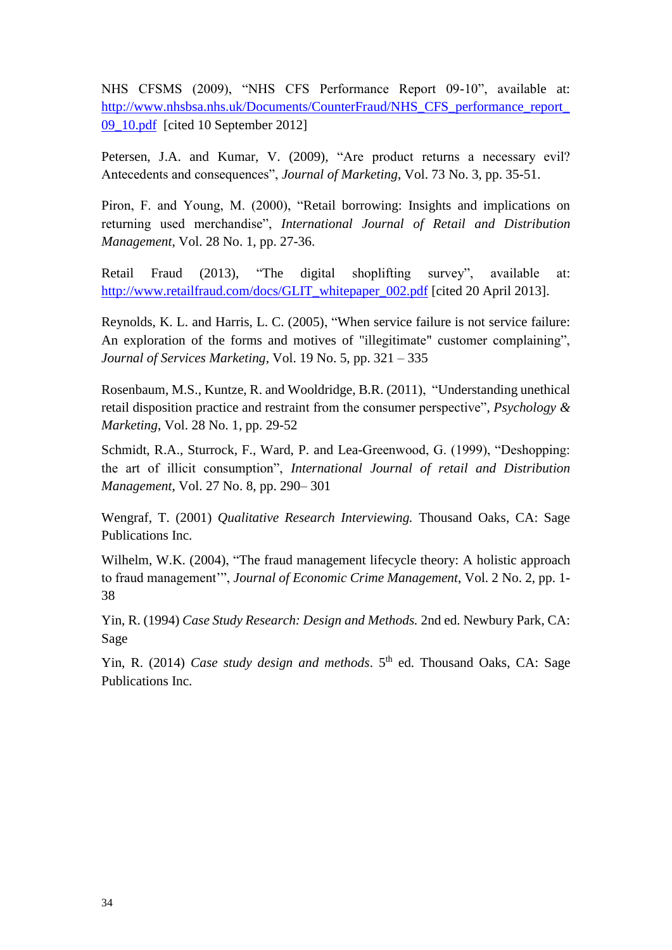NHS CFSMS (2009), "NHS CFS Performance Report 09-10", available at: http://www.nhsbsa.nhs.uk/Documents/CounterFraud/NHS\_CFS\_performance\_report [09\\_10.pdf](http://www.nhsbsa.nhs.uk/Documents/CounterFraud/NHS_CFS_performance_report_09_10.pdf) [cited 10 September 2012]

Petersen, J.A. and Kumar, V. (2009), "Are product returns a necessary evil? Antecedents and consequences", *Journal of Marketing*, Vol. 73 No. 3, pp. 35-51.

Piron, F. and Young, M. (2000), "Retail borrowing: Insights and implications on returning used merchandise", *International Journal of Retail and Distribution Management*, Vol. 28 No. 1, pp. 27-36.

Retail Fraud (2013), "The digital shoplifting survey", available at: http://www.retailfraud.com/docs/GLIT\_whitepaper\_002.pdf [cited 20 April 2013].

Reynolds, K. L. and Harris, L. C. (2005), "When service failure is not service failure: An exploration of the forms and motives of "illegitimate" customer complaining", *Journal of Services Marketing*, Vol. 19 No. 5, pp. 321 – 335

Rosenbaum, M.S., Kuntze, R. and Wooldridge, B.R. (2011), "Understanding unethical retail disposition practice and restraint from the consumer perspective", *Psychology & Marketing*, Vol. 28 No. 1, pp. 29-52

Schmidt, R.A., Sturrock, F., Ward, P. and Lea-Greenwood, G. (1999), "Deshopping: the art of illicit consumption", *International Journal of retail and Distribution Management*, Vol. 27 No. 8, pp. 290– 301

Wengraf, T. (2001) *Qualitative Research Interviewing.* Thousand Oaks, CA: Sage Publications Inc.

Wilhelm, W.K. (2004), "The fraud management lifecycle theory: A holistic approach to fraud management'", *Journal of Economic Crime Management*, Vol. 2 No. 2, pp. 1- 38

Yin, R. (1994) *Case Study Research: Design and Methods.* 2nd ed. Newbury Park, CA: Sage

Yin, R. (2014) *Case study design and methods*. 5<sup>th</sup> ed. Thousand Oaks, CA: Sage Publications Inc.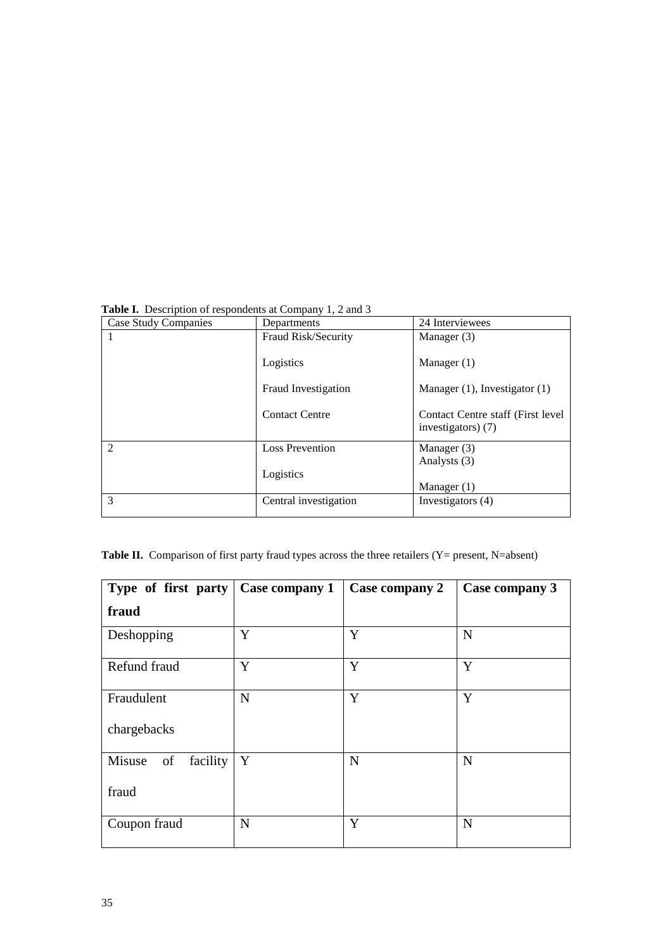| Case Study Companies | Departments                | 24 Interviewees                                            |
|----------------------|----------------------------|------------------------------------------------------------|
|                      | Fraud Risk/Security        | Manager (3)                                                |
|                      | Logistics                  | Manager $(1)$                                              |
|                      | <b>Fraud Investigation</b> | Manager $(1)$ , Investigator $(1)$                         |
|                      | <b>Contact Centre</b>      | Contact Centre staff (First level)<br>investigators) $(7)$ |
| $\mathcal{L}$        | <b>Loss Prevention</b>     | Manager (3)                                                |
|                      |                            | Analysts (3)                                               |
|                      | Logistics                  |                                                            |
|                      |                            | Manager $(1)$                                              |
| $\mathcal{R}$        | Central investigation      | Investigators (4)                                          |

**Table I.** Description of respondents at Company 1, 2 and 3

Table II. Comparison of first party fraud types across the three retailers (Y= present, N=absent)

| Type of first party               | <b>Case company 1</b> | Case company 2 | Case company 3 |
|-----------------------------------|-----------------------|----------------|----------------|
| fraud                             |                       |                |                |
| Deshopping                        | Y                     | Y              | N              |
| Refund fraud                      | Y                     | Y              | Y              |
| Fraudulent<br>chargebacks         | $\mathbf N$           | Y              | Y              |
| Misuse<br>of<br>facility<br>fraud | Y                     | N              | N              |
| Coupon fraud                      | $\mathbf N$           | Y              | N              |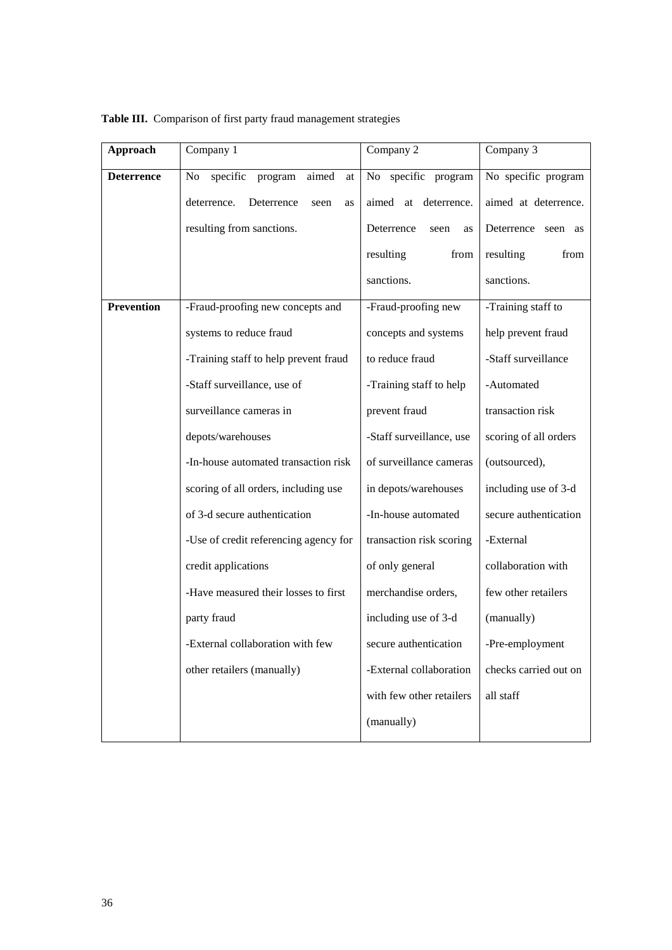| Approach          | Company 1                               | Company 2                               | Company 3             |
|-------------------|-----------------------------------------|-----------------------------------------|-----------------------|
| <b>Deterrence</b> | specific program<br>aimed<br>No<br>at   | $\overline{\text{No}}$ specific program | No specific program   |
|                   | deterrence.<br>Deterrence<br>seen<br>as | aimed<br>at<br>deterrence.              | aimed at deterrence.  |
|                   | resulting from sanctions.               | Deterrence<br>seen<br>as                | Deterrence seen as    |
|                   |                                         | resulting<br>from                       | resulting<br>from     |
|                   |                                         | sanctions.                              | sanctions.            |
| <b>Prevention</b> | -Fraud-proofing new concepts and        | -Fraud-proofing new                     | -Training staff to    |
|                   | systems to reduce fraud                 | concepts and systems                    | help prevent fraud    |
|                   | -Training staff to help prevent fraud   | to reduce fraud                         | -Staff surveillance   |
|                   | -Staff surveillance, use of             | -Training staff to help                 | -Automated            |
|                   | surveillance cameras in                 | prevent fraud                           | transaction risk      |
|                   | depots/warehouses                       | -Staff surveillance, use                | scoring of all orders |
|                   | -In-house automated transaction risk    | of surveillance cameras                 | (outsourced),         |
|                   | scoring of all orders, including use    | in depots/warehouses                    | including use of 3-d  |
|                   | of 3-d secure authentication            | -In-house automated                     | secure authentication |
|                   | -Use of credit referencing agency for   | transaction risk scoring                | -External             |
|                   | credit applications                     | of only general                         | collaboration with    |
|                   | -Have measured their losses to first    | merchandise orders,                     | few other retailers   |
|                   | party fraud                             | including use of 3-d                    | (manually)            |
|                   | -External collaboration with few        | secure authentication                   | -Pre-employment       |
|                   | other retailers (manually)              | -External collaboration                 | checks carried out on |
|                   |                                         | with few other retailers                | all staff             |
|                   |                                         | (manually)                              |                       |
|                   |                                         |                                         |                       |

**Table III.** Comparison of first party fraud management strategies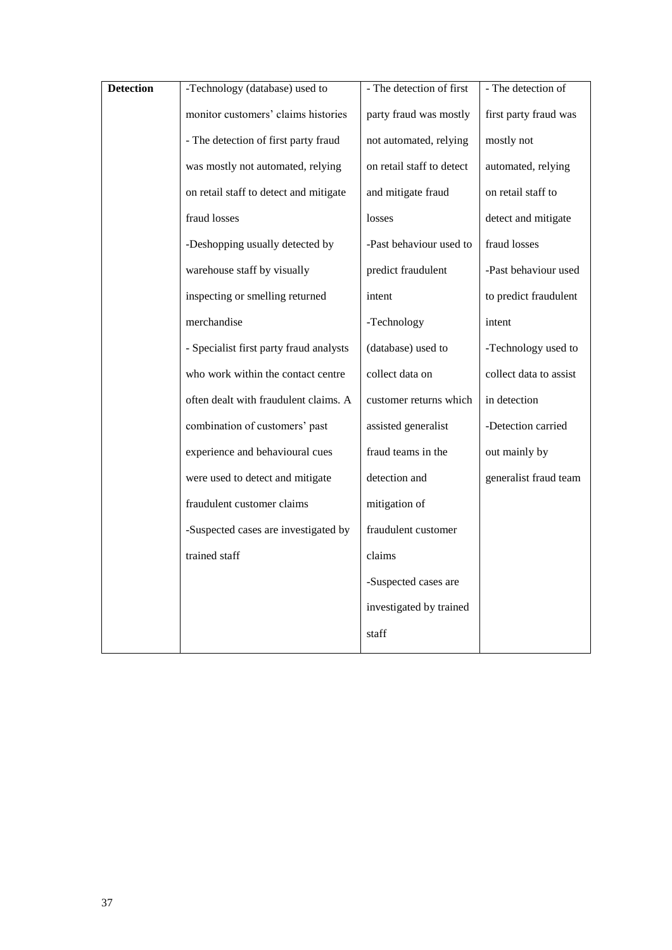| monitor customers' claims histories<br>- The detection of first party fraud<br>was mostly not automated, relying<br>on retail staff to detect and mitigate<br>fraud losses<br>-Deshopping usually detected by<br>warehouse staff by visually<br>inspecting or smelling returned | party fraud was mostly<br>not automated, relying<br>on retail staff to detect<br>and mitigate fraud<br>losses<br>-Past behaviour used to<br>predict fraudulent<br>intent<br>-Technology | first party fraud was<br>mostly not<br>automated, relying<br>on retail staff to<br>detect and mitigate<br>fraud losses<br>-Past behaviour used<br>to predict fraudulent |
|---------------------------------------------------------------------------------------------------------------------------------------------------------------------------------------------------------------------------------------------------------------------------------|-----------------------------------------------------------------------------------------------------------------------------------------------------------------------------------------|-------------------------------------------------------------------------------------------------------------------------------------------------------------------------|
|                                                                                                                                                                                                                                                                                 |                                                                                                                                                                                         |                                                                                                                                                                         |
|                                                                                                                                                                                                                                                                                 |                                                                                                                                                                                         |                                                                                                                                                                         |
|                                                                                                                                                                                                                                                                                 |                                                                                                                                                                                         |                                                                                                                                                                         |
|                                                                                                                                                                                                                                                                                 |                                                                                                                                                                                         |                                                                                                                                                                         |
|                                                                                                                                                                                                                                                                                 |                                                                                                                                                                                         |                                                                                                                                                                         |
|                                                                                                                                                                                                                                                                                 |                                                                                                                                                                                         |                                                                                                                                                                         |
|                                                                                                                                                                                                                                                                                 |                                                                                                                                                                                         |                                                                                                                                                                         |
|                                                                                                                                                                                                                                                                                 |                                                                                                                                                                                         |                                                                                                                                                                         |
| merchandise                                                                                                                                                                                                                                                                     |                                                                                                                                                                                         | intent                                                                                                                                                                  |
| - Specialist first party fraud analysts                                                                                                                                                                                                                                         | (database) used to                                                                                                                                                                      | -Technology used to                                                                                                                                                     |
| who work within the contact centre                                                                                                                                                                                                                                              | collect data on                                                                                                                                                                         | collect data to assist                                                                                                                                                  |
| often dealt with fraudulent claims. A                                                                                                                                                                                                                                           | customer returns which                                                                                                                                                                  | in detection                                                                                                                                                            |
| combination of customers' past                                                                                                                                                                                                                                                  | assisted generalist                                                                                                                                                                     | -Detection carried                                                                                                                                                      |
| experience and behavioural cues                                                                                                                                                                                                                                                 | fraud teams in the                                                                                                                                                                      | out mainly by                                                                                                                                                           |
| were used to detect and mitigate                                                                                                                                                                                                                                                | detection and                                                                                                                                                                           | generalist fraud team                                                                                                                                                   |
| fraudulent customer claims                                                                                                                                                                                                                                                      | mitigation of                                                                                                                                                                           |                                                                                                                                                                         |
| -Suspected cases are investigated by                                                                                                                                                                                                                                            | fraudulent customer                                                                                                                                                                     |                                                                                                                                                                         |
| trained staff                                                                                                                                                                                                                                                                   | claims                                                                                                                                                                                  |                                                                                                                                                                         |
|                                                                                                                                                                                                                                                                                 | -Suspected cases are                                                                                                                                                                    |                                                                                                                                                                         |
|                                                                                                                                                                                                                                                                                 | investigated by trained                                                                                                                                                                 |                                                                                                                                                                         |
|                                                                                                                                                                                                                                                                                 | staff                                                                                                                                                                                   |                                                                                                                                                                         |
|                                                                                                                                                                                                                                                                                 |                                                                                                                                                                                         |                                                                                                                                                                         |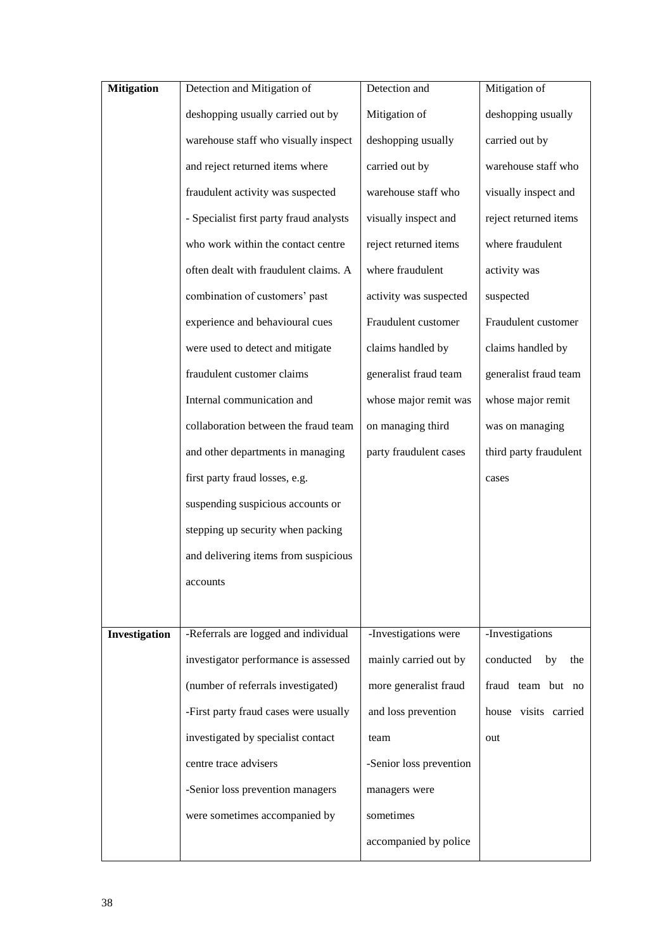| Detection and Mitigation of             | Detection and           | Mitigation of          |
|-----------------------------------------|-------------------------|------------------------|
| deshopping usually carried out by       | Mitigation of           | deshopping usually     |
| warehouse staff who visually inspect    | deshopping usually      | carried out by         |
| and reject returned items where         | carried out by          | warehouse staff who    |
| fraudulent activity was suspected       | warehouse staff who     | visually inspect and   |
| - Specialist first party fraud analysts | visually inspect and    | reject returned items  |
| who work within the contact centre      | reject returned items   | where fraudulent       |
| often dealt with fraudulent claims. A   | where fraudulent        | activity was           |
| combination of customers' past          | activity was suspected  | suspected              |
| experience and behavioural cues         | Fraudulent customer     | Fraudulent customer    |
| were used to detect and mitigate        | claims handled by       | claims handled by      |
| fraudulent customer claims              | generalist fraud team   | generalist fraud team  |
| Internal communication and              | whose major remit was   | whose major remit      |
| collaboration between the fraud team    | on managing third       | was on managing        |
| and other departments in managing       | party fraudulent cases  | third party fraudulent |
| first party fraud losses, e.g.          |                         | cases                  |
| suspending suspicious accounts or       |                         |                        |
| stepping up security when packing       |                         |                        |
| and delivering items from suspicious    |                         |                        |
| accounts                                |                         |                        |
|                                         |                         |                        |
| -Referrals are logged and individual    | -Investigations were    | -Investigations        |
| investigator performance is assessed    | mainly carried out by   | conducted<br>by<br>the |
| (number of referrals investigated)      | more generalist fraud   | fraud team but no      |
| -First party fraud cases were usually   | and loss prevention     | house visits carried   |
| investigated by specialist contact      | team                    | out                    |
| centre trace advisers                   | -Senior loss prevention |                        |
| -Senior loss prevention managers        | managers were           |                        |
| were sometimes accompanied by           | sometimes               |                        |
|                                         | accompanied by police   |                        |
|                                         |                         |                        |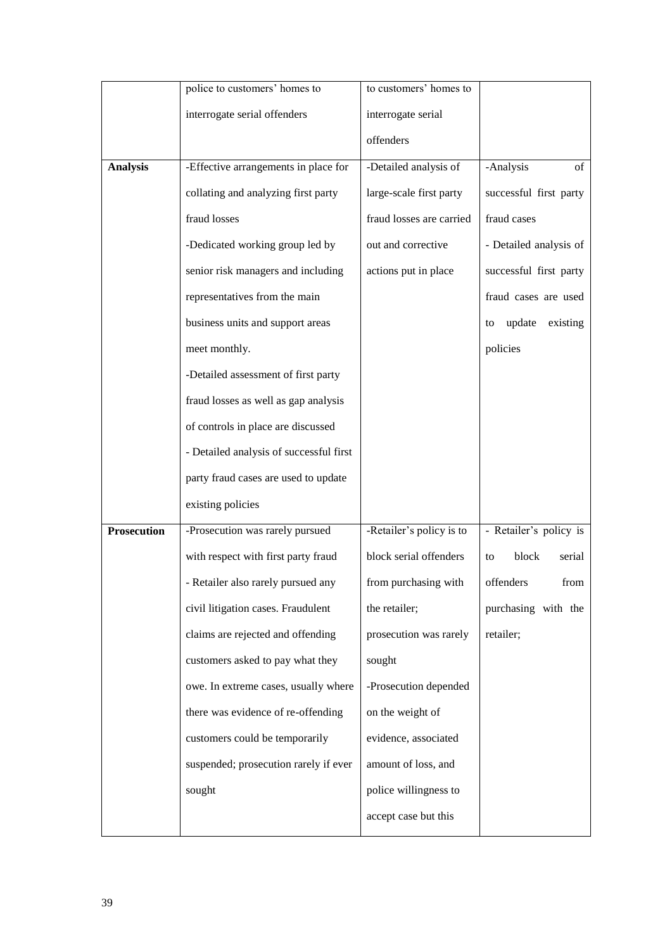|                    | police to customers' homes to           | to customers' homes to   |                          |
|--------------------|-----------------------------------------|--------------------------|--------------------------|
|                    | interrogate serial offenders            | interrogate serial       |                          |
|                    |                                         | offenders                |                          |
| <b>Analysis</b>    | -Effective arrangements in place for    | -Detailed analysis of    | -Analysis<br>of          |
|                    | collating and analyzing first party     | large-scale first party  | successful first party   |
|                    | fraud losses                            | fraud losses are carried | fraud cases              |
|                    | -Dedicated working group led by         | out and corrective       | - Detailed analysis of   |
|                    | senior risk managers and including      | actions put in place     | successful first party   |
|                    | representatives from the main           |                          | fraud cases are used     |
|                    | business units and support areas        |                          | update<br>existing<br>to |
|                    | meet monthly.                           |                          | policies                 |
|                    | -Detailed assessment of first party     |                          |                          |
|                    | fraud losses as well as gap analysis    |                          |                          |
|                    | of controls in place are discussed      |                          |                          |
|                    | - Detailed analysis of successful first |                          |                          |
|                    | party fraud cases are used to update    |                          |                          |
|                    | existing policies                       |                          |                          |
| <b>Prosecution</b> | -Prosecution was rarely pursued         | -Retailer's policy is to | - Retailer's policy is   |
|                    | with respect with first party fraud     | block serial offenders   | block<br>serial<br>to    |
|                    | - Retailer also rarely pursued any      | from purchasing with     | offenders<br>from        |
|                    | civil litigation cases. Fraudulent      | the retailer;            | purchasing with the      |
|                    | claims are rejected and offending       | prosecution was rarely   | retailer;                |
|                    | customers asked to pay what they        | sought                   |                          |
|                    | owe. In extreme cases, usually where    | -Prosecution depended    |                          |
|                    | there was evidence of re-offending      | on the weight of         |                          |
|                    | customers could be temporarily          | evidence, associated     |                          |
|                    | suspended; prosecution rarely if ever   | amount of loss, and      |                          |
|                    | sought                                  | police willingness to    |                          |
|                    |                                         | accept case but this     |                          |
|                    |                                         |                          |                          |